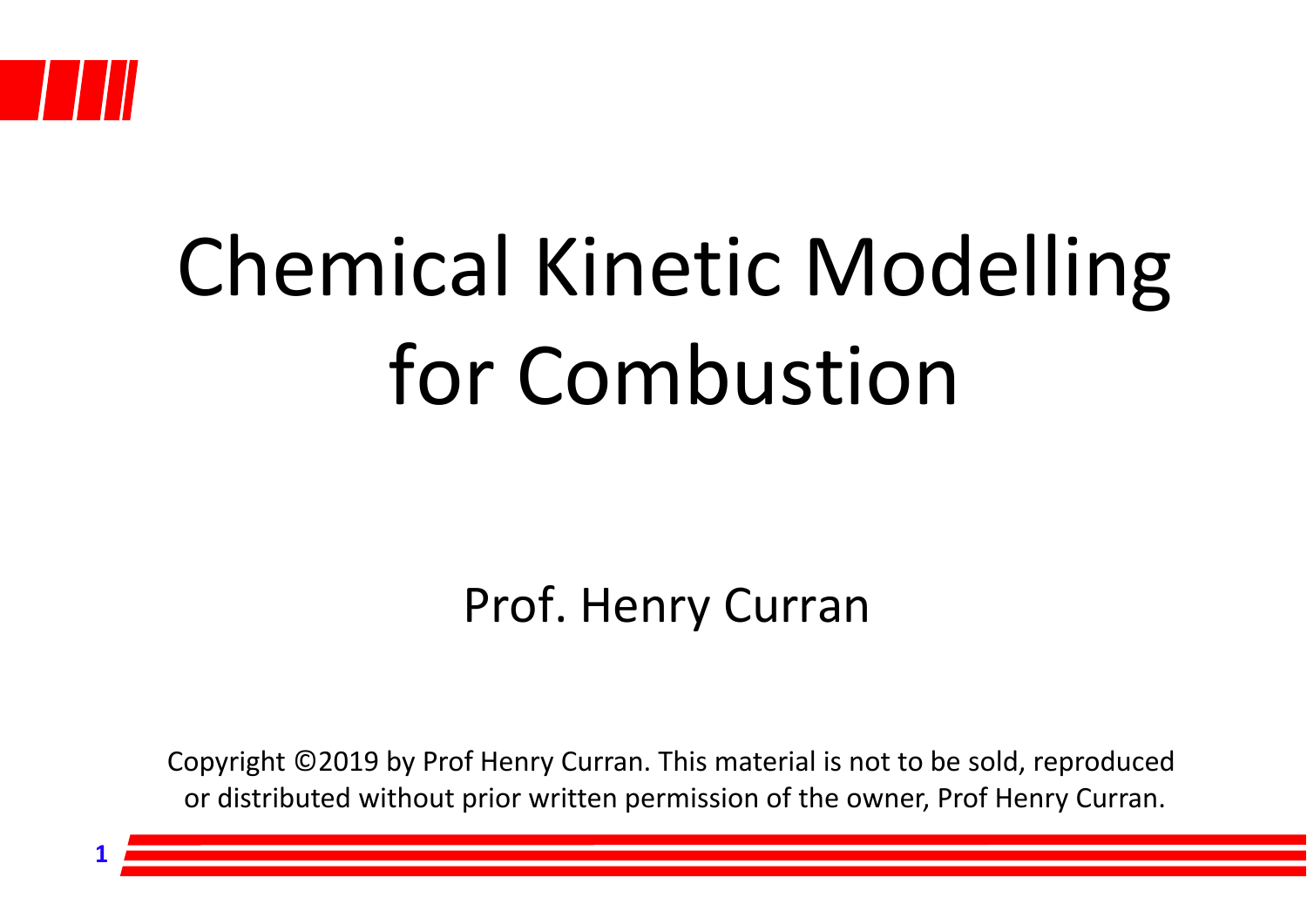

**1**

## Chemical Kinetic Modelling for Combustion

#### Prof. Henry Curran

Copyright ©2019 by Prof Henry Curran. This material is not to be sold, reproduced or distributed without prior written permission of the owner, Prof Henry Curran.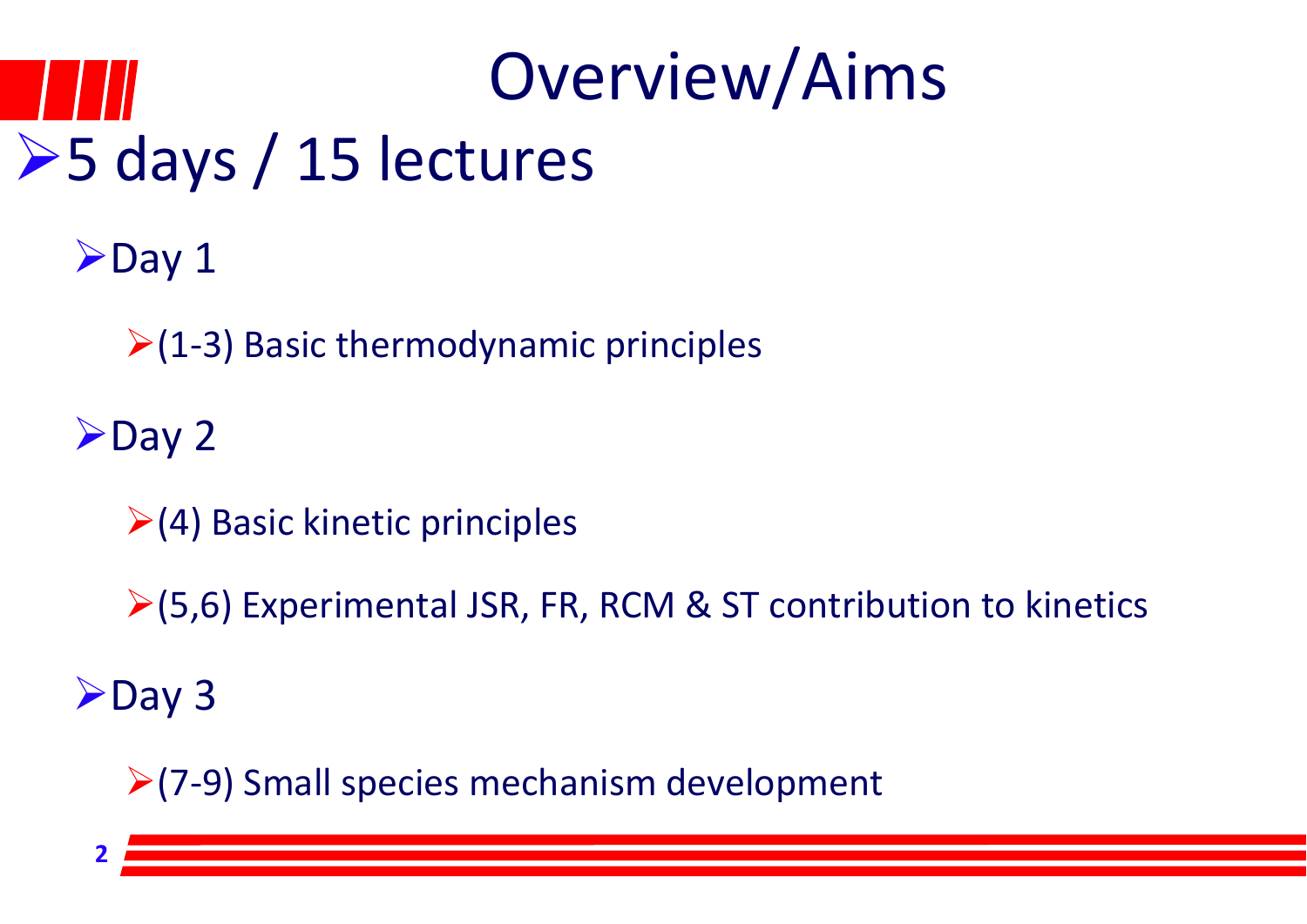## Overview/Aims **≻5 days / 15 lectures**

 $\rho$ Day 1

 $\geq$ (1-3) Basic thermodynamic principles

 $\rho_{\text{Day 2}}$ 

 $\geq$  (4) Basic kinetic principles

 $\ge$ (5,6) Experimental JSR, FR, RCM & ST contribution to kinetics

 $\blacktriangleright$  Day 3

**2**

 $(7-9)$  Small species mechanism development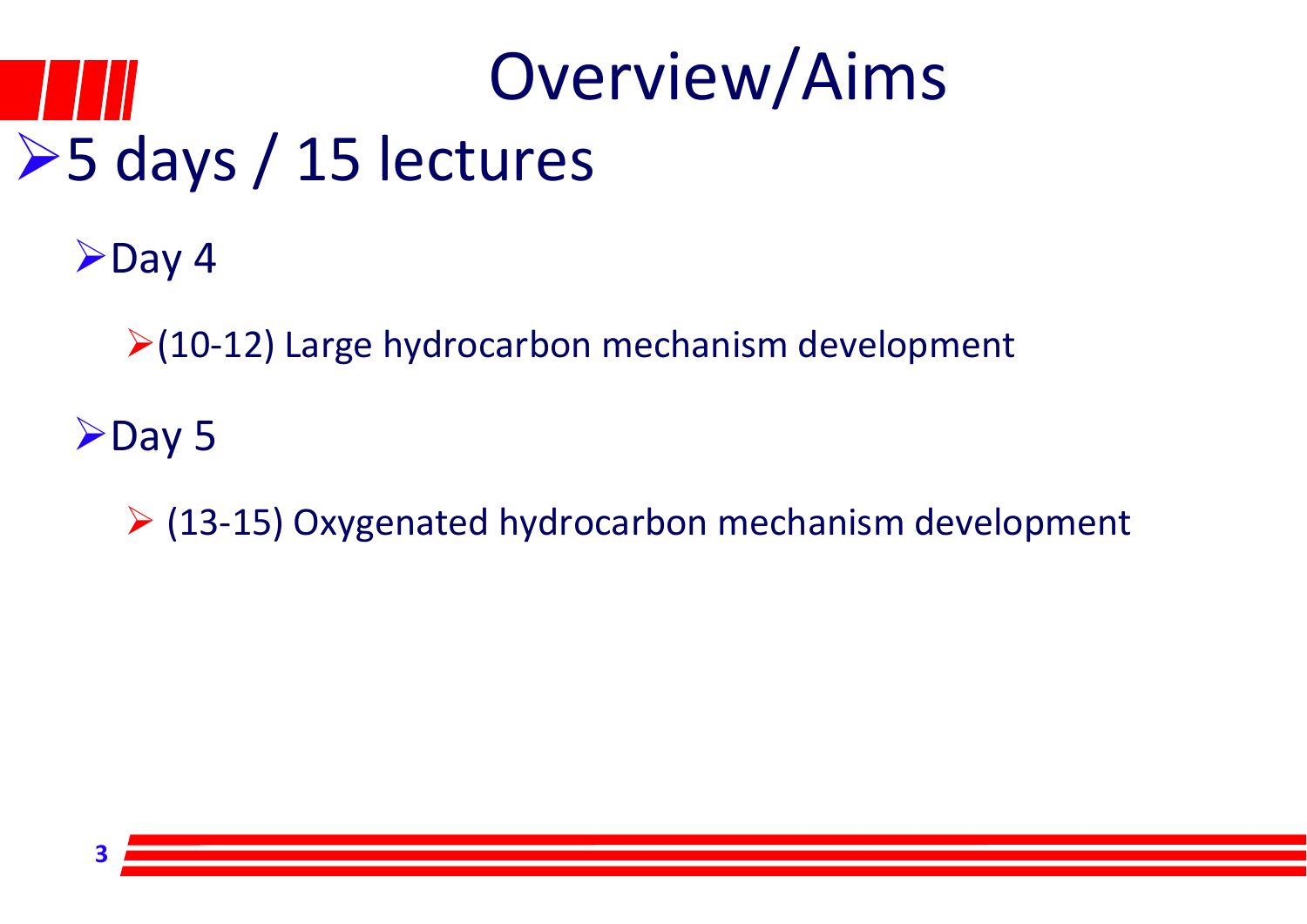## Overview/Aims **≻5 days / 15 lectures**

 $\blacktriangleright$  Day 4

 $(10-12)$  Large hydrocarbon mechanism development

 $\blacktriangleright$  Day 5

(13‐15) Oxygenated hydrocarbon mechanism development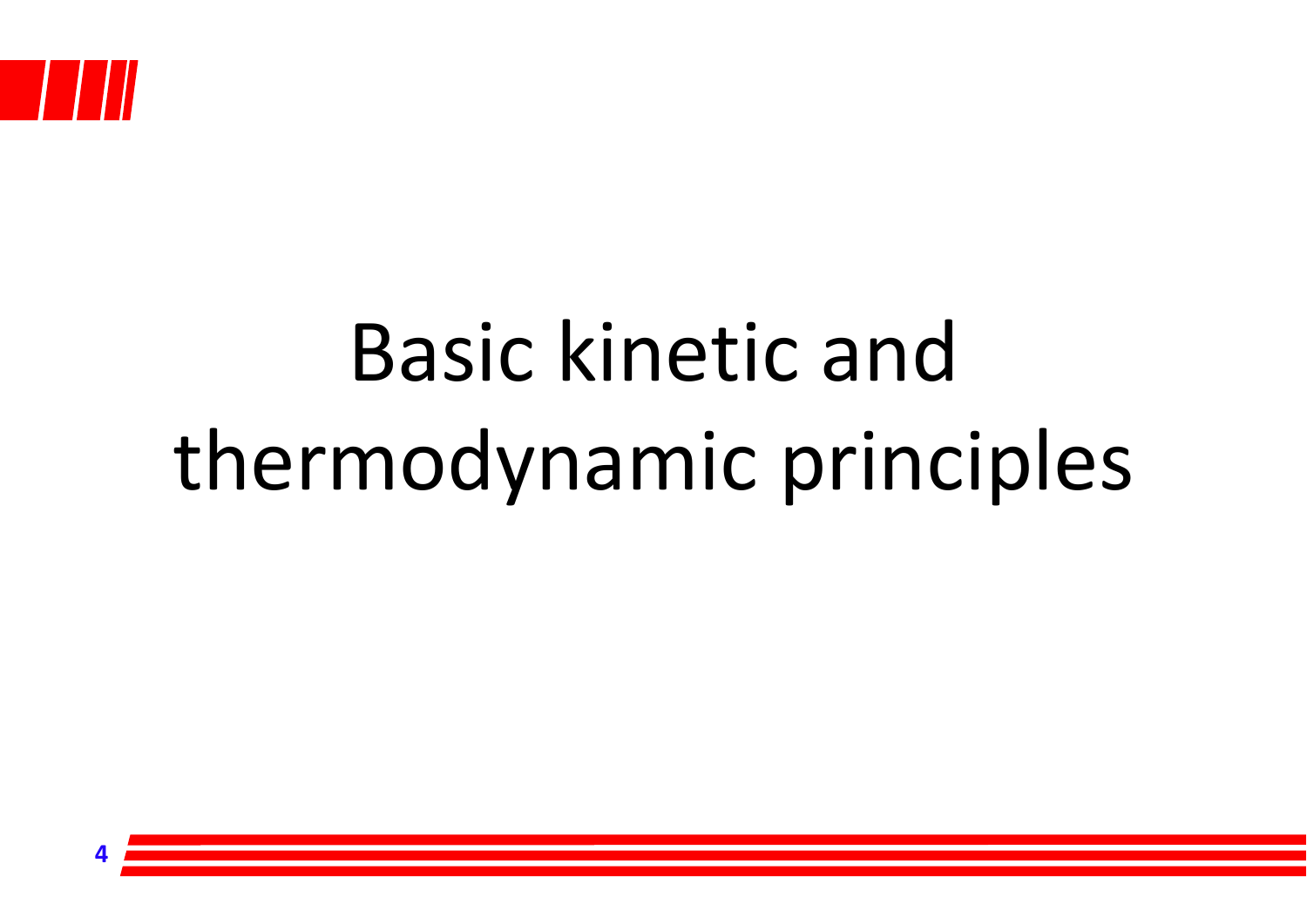

## Basic kinetic andthermodynamic principles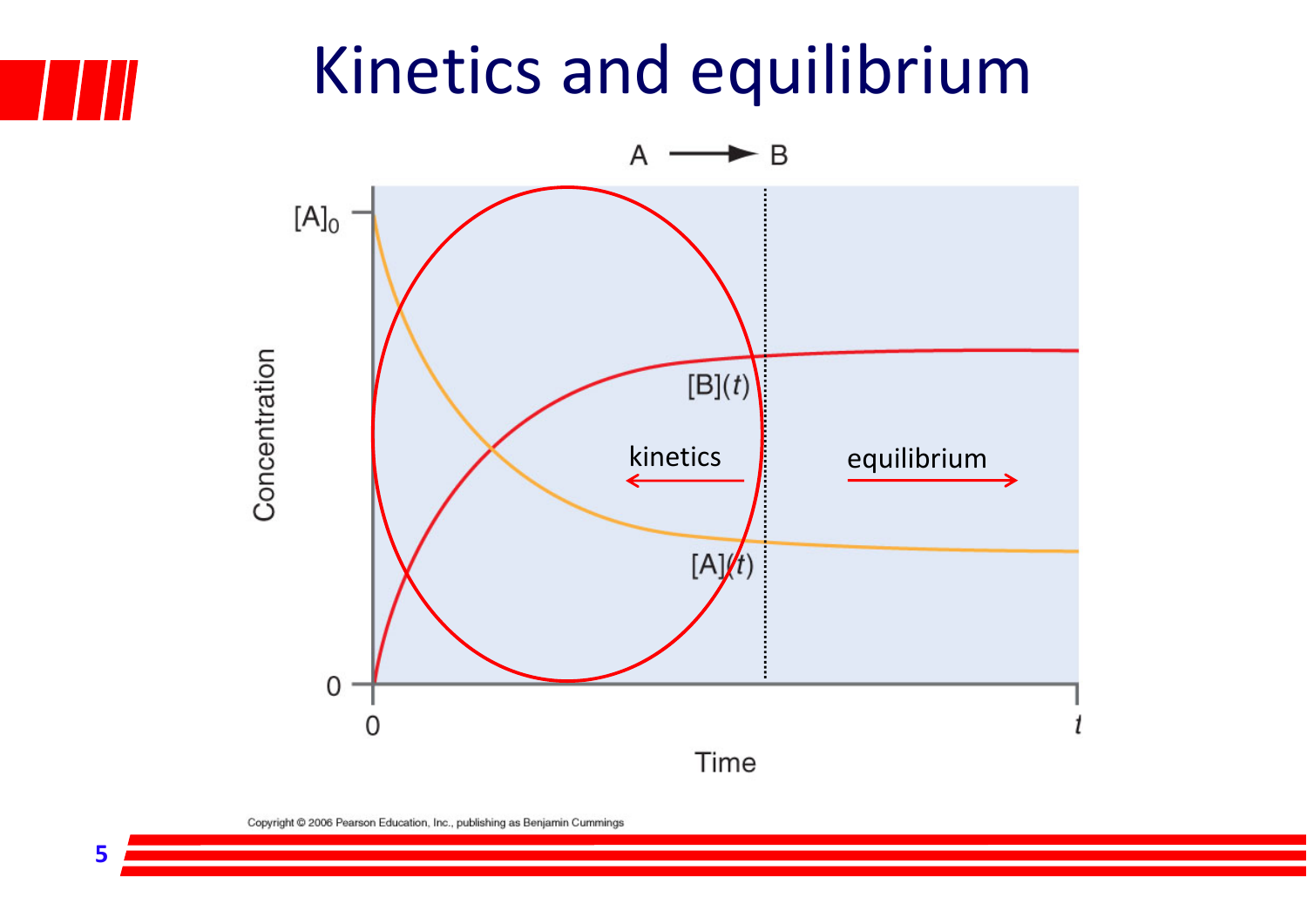#### Kinetics and equilibrium

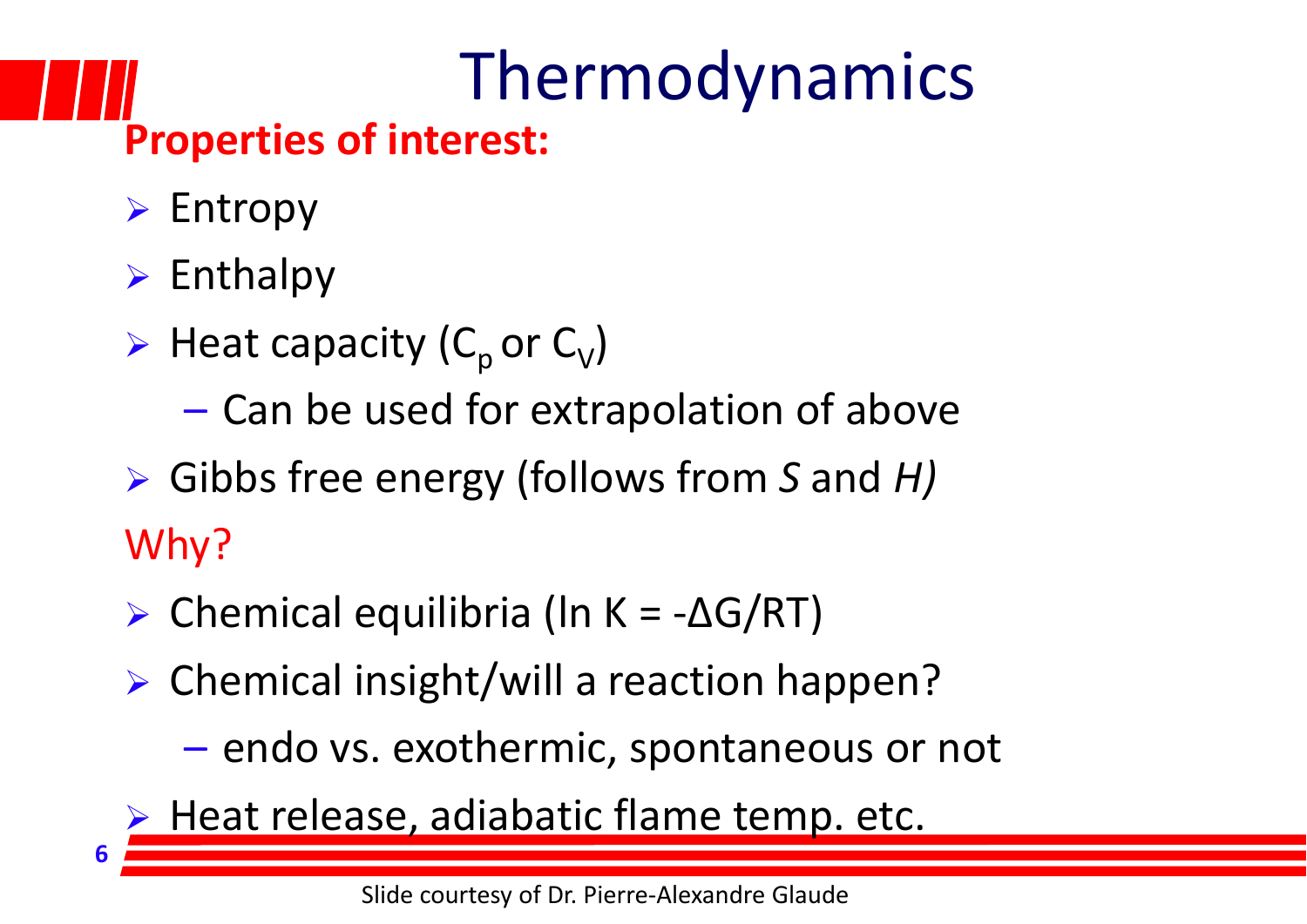## Thermodynamics

#### **Properties of interest:**

- $\triangleright$  Entropy
- $\triangleright$  Enthalpy

- $\triangleright$  Heat capacity (C<sub>p</sub> or C<sub>V</sub>)
	- Can be used for extrapolation of above
- Gibbs free energy (follows from *S* and *H)* Why?
- Chemical equilibria (ln K = $-\Delta G/RT)$
- Chemical insight/will a reaction happen?
	- –- endo vs. exothermic, spontaneous or not
- **Heat release, adiabatic flame temp. etc.**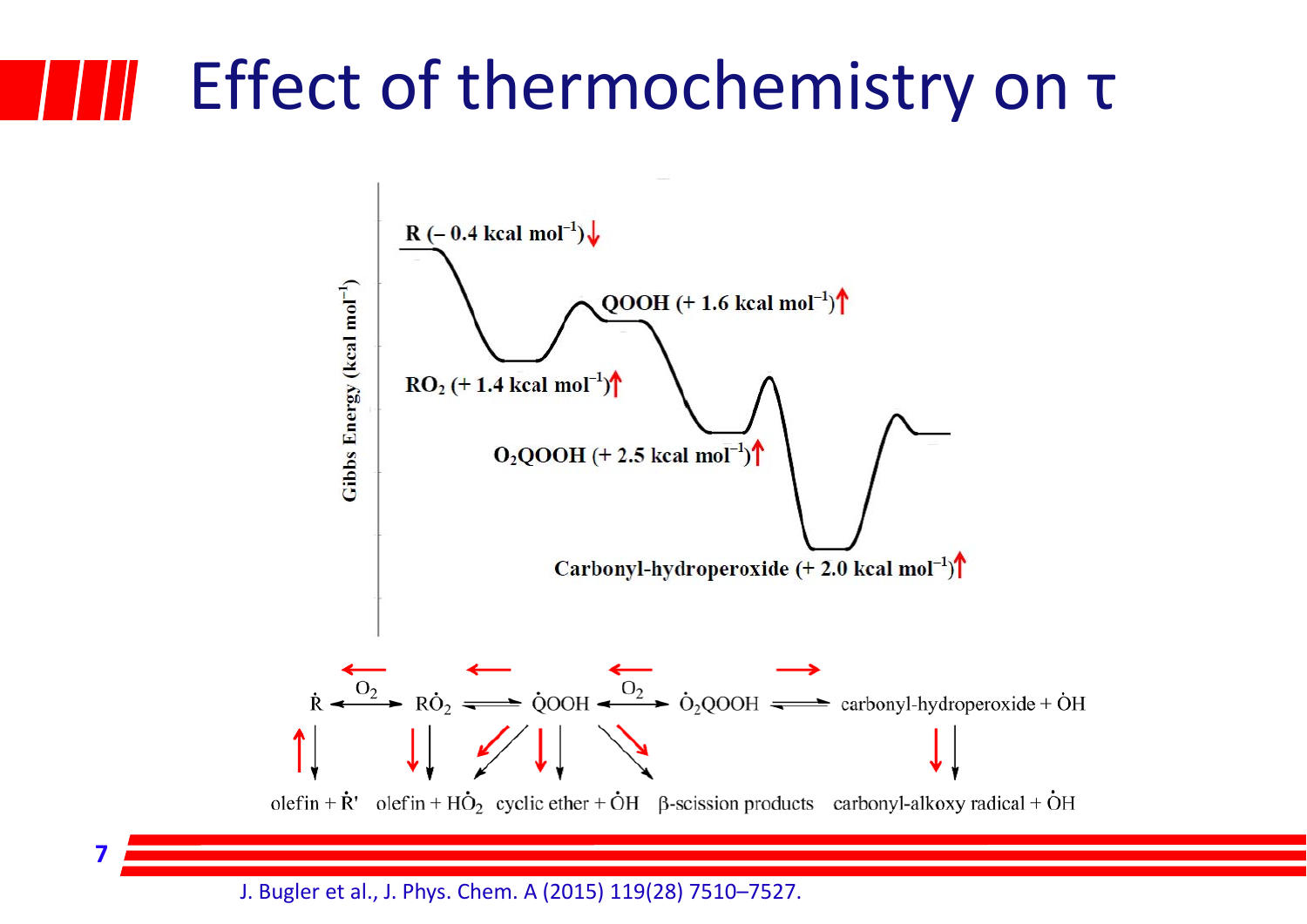#### Effect of thermochemistry on τ



J. Bugler et al., J. Phys. Chem. A (2015) 119(28) 7510–7527.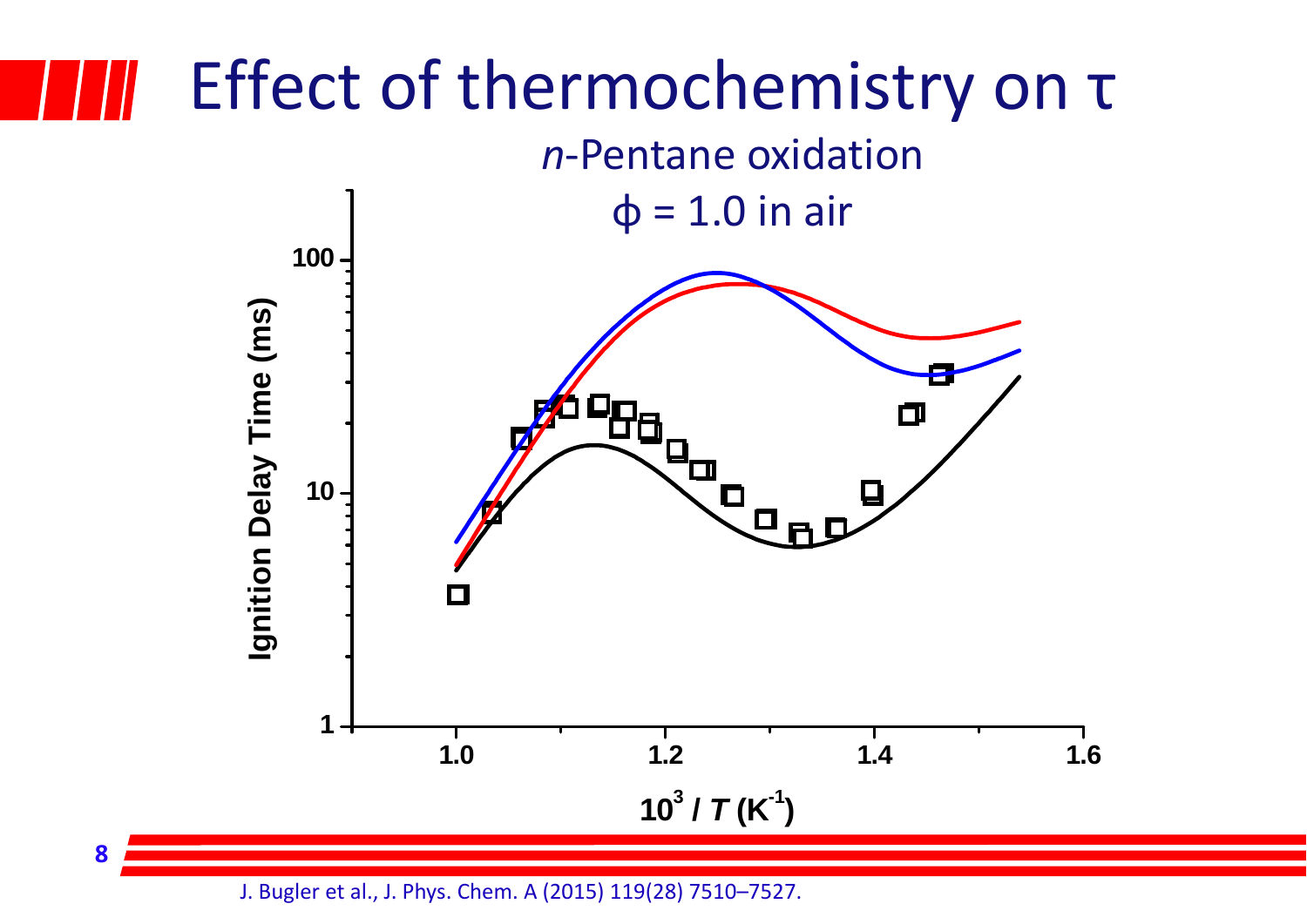#### Effect of thermochemistry on τ *n*‐Pentane oxidation  $φ = 1.0$  in air **100** Ignition Delay Time (ms) **Ignition Delay Time (ms)** О L П **10**  $\Box$ .<br>Qrd  $\Box$ **1** 1.6 **1.0 1.2 1.4 1.6** $10^3 / T(K^1)$

J. Bugler et al., J. Phys. Chem. A (2015) 119(28) 7510–7527.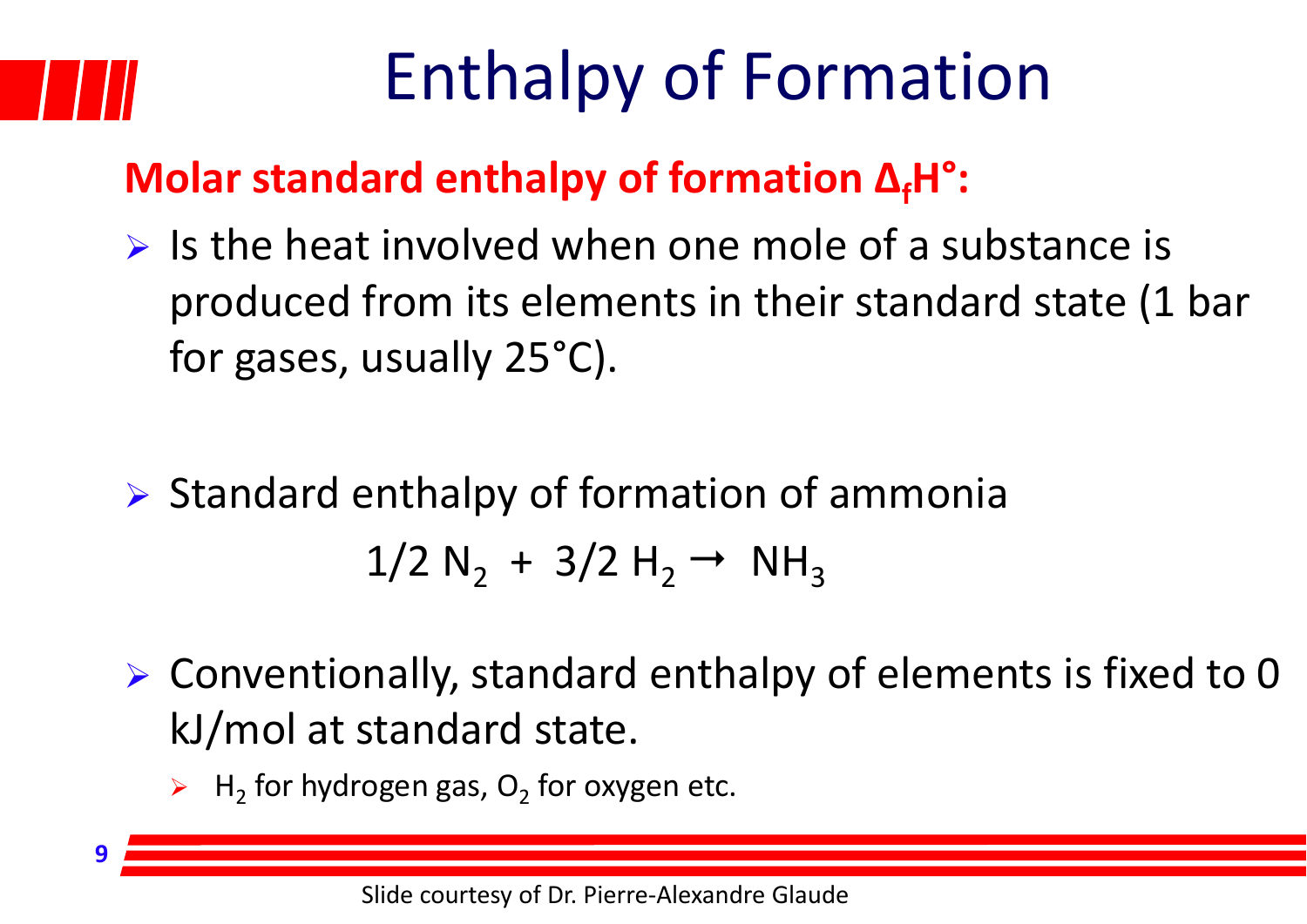## Enthalpy of Formation

#### **Molar standard enthalpy of formation ΔfH°:**

- $\triangleright$  Is the heat involved when one mole of a substance is produced from its elements in their standard state (1 bar for gases, usually 25°C).
- $\triangleright$  Standard enthalpy of formation of ammonia  $1/2$  N<sub>2</sub> + 3/2 H<sub>2</sub>  $\rightarrow$  NH<sub>3</sub>
- Conventionally, standard enthalpy of elements is fixed to 0 kJ/mol at standard state.
	- $\triangleright$  H<sub>2</sub> for hydrogen gas, O<sub>2</sub> for oxygen etc.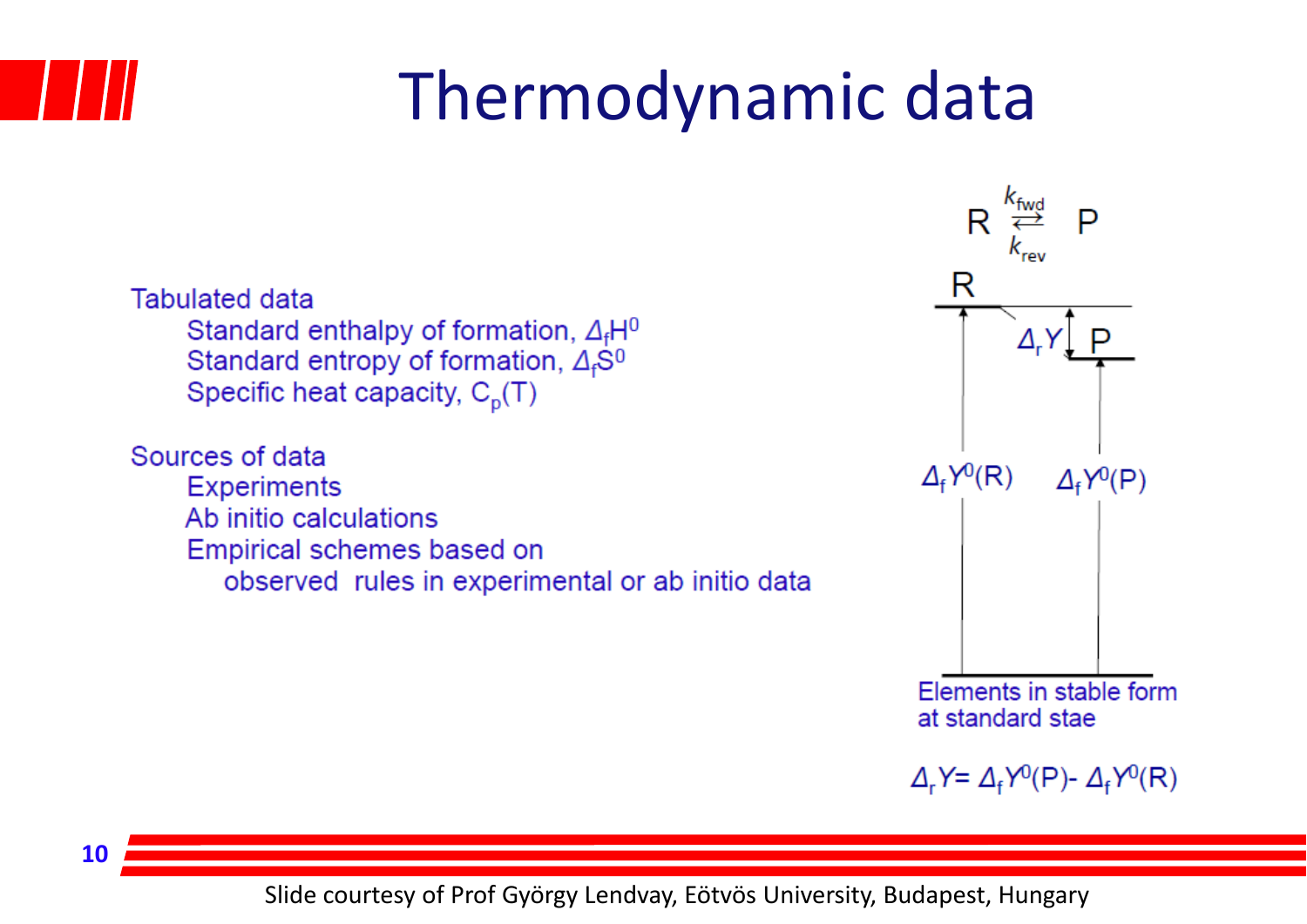

## Thermodynamic data

**Tabulated data** Standard enthalpy of formation,  $\Delta_f H^0$ Standard entropy of formation,  $\Delta_f$ S<sup>0</sup> Specific heat capacity,  $C_p(T)$ 

Sources of data **Experiments** Ab initio calculations Empirical schemes based on observed rules in experimental or ab initio data



**10**

Slide courtesy of Prof György Lendvay, Eötvös University, Budapest, Hungary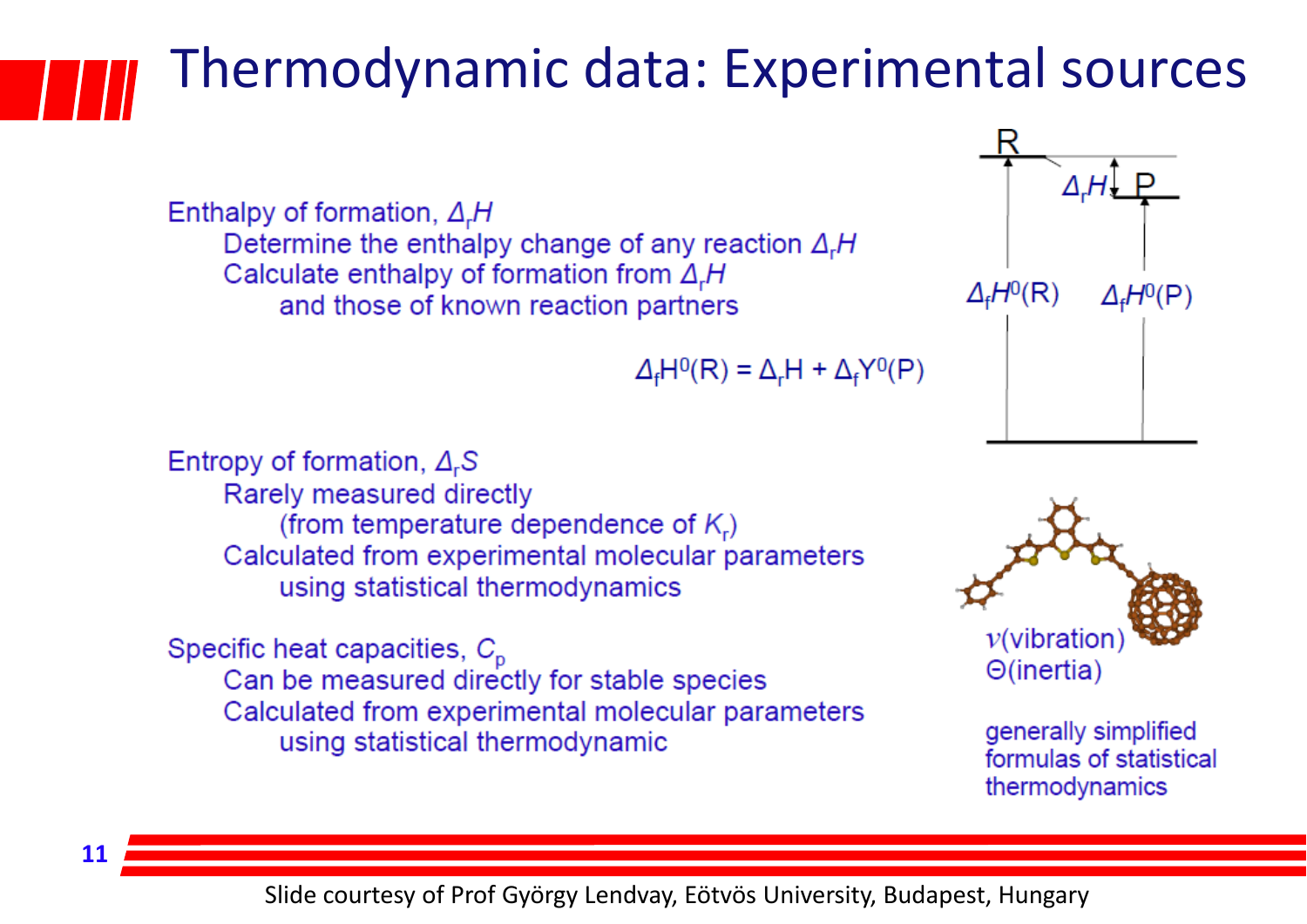#### Thermodynamic data: Experimental sources

Enthalpy of formation,  $\Delta_r H$ Determine the enthalpy change of any reaction  $\Delta_r H$ Calculate enthalpy of formation from  $\Delta_r H$ and those of known reaction partners

$$
\Delta_{\rm f} H^0(R) = \Delta_{\rm r} H + \Delta_{\rm f} Y^0(P)
$$



Entropy of formation,  $\Delta_r$ S Rarely measured directly (from temperature dependence of  $K_r$ ) Calculated from experimental molecular parameters using statistical thermodynamics

Specific heat capacities,  $C_p$ Can be measured directly for stable species Calculated from experimental molecular parameters using statistical thermodynamic

**11**



generally simplified formulas of statistical thermodynamics

Slide courtesy of Prof György Lendvay, Eötvös University, Budapest, Hungary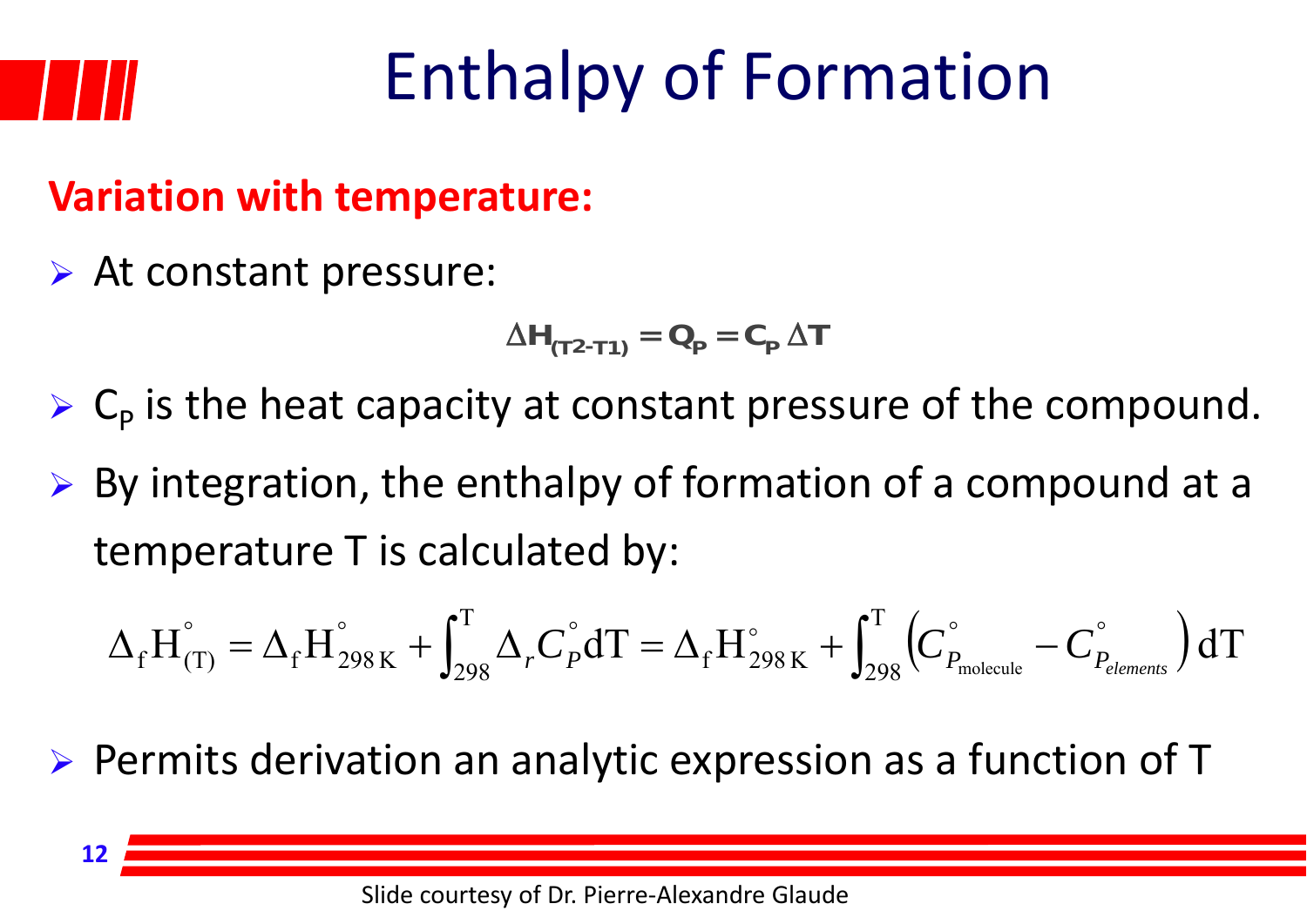

## Enthalpy of Formation

#### **Variation with temperature:**

At constant pressure:

$$
\Delta H_{(T2-T1)} = Q_{\rm p} = C_{\rm p} \Delta T
$$

 $\triangleright$  C<sub>p</sub> is the heat capacity at constant pressure of the compound.

 $\triangleright$  By integration, the enthalpy of formation of a compound at a temperature T is calculated by:

$$
\Delta_f H_{(T)}^{\circ} = \Delta_f H_{298\,\mathrm{K}}^{\circ} + \int_{298}^{T} \Delta_r C_P^{\circ} dT = \Delta_f H_{298\,\mathrm{K}}^{\circ} + \int_{298}^{T} \left(C_{P_{\text{molecule}}}^{\circ} - C_{P_{\text{elements}}}^{\circ}\right) dT
$$

- Permits derivation an analytic expression as <sup>a</sup> function of T
	- **12**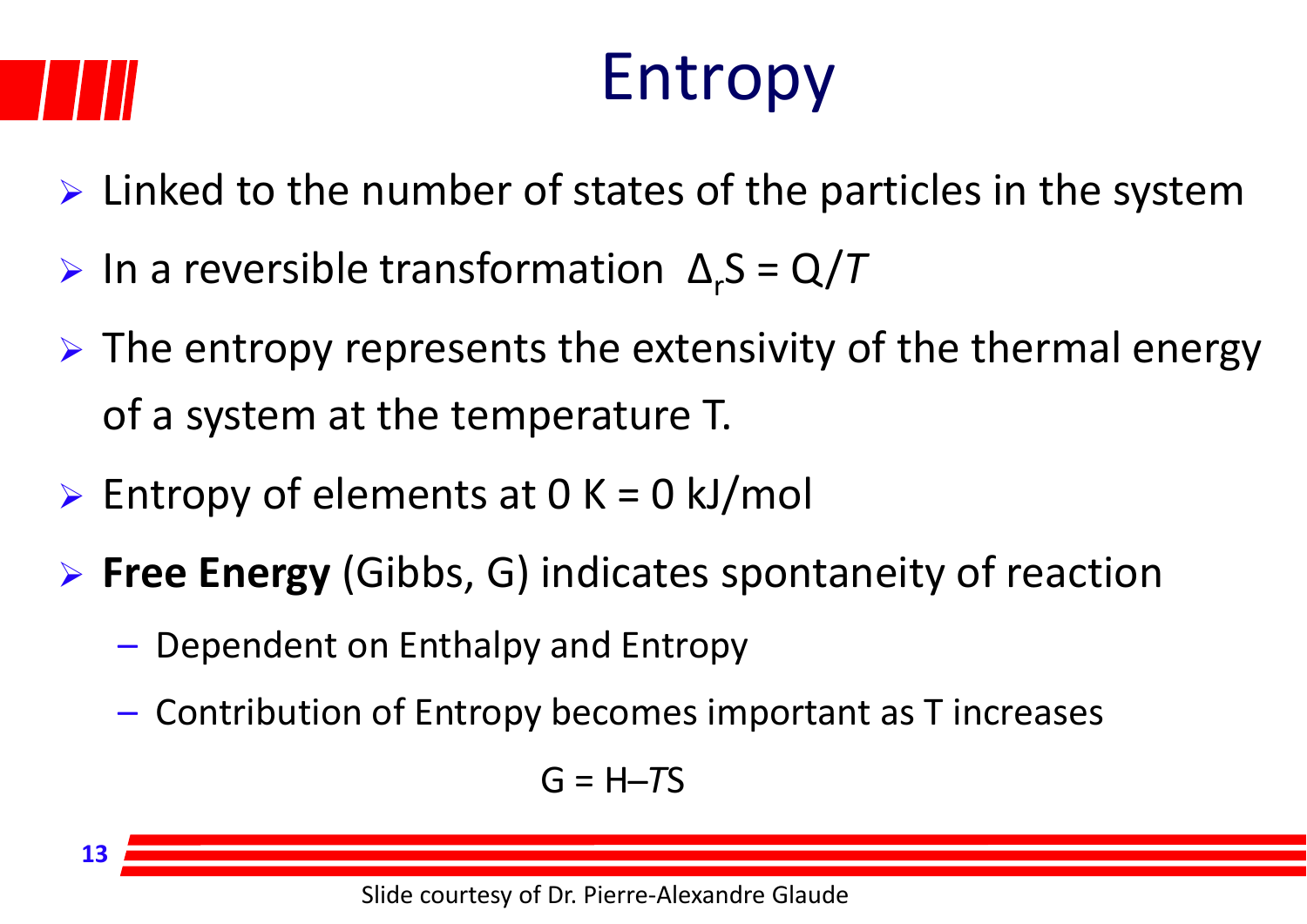**13**

## Entropy

- $\triangleright$  Linked to the number of states of the particles in the system
- $\triangleright$  In a reversible transformation  $\Delta_rS = Q/T$
- $\triangleright$  The entropy represents the extensivity of the thermal energy of a system at the temperature T.
- $\triangleright$  Entropy of elements at 0 K = 0 kJ/mol
- **Free Energy** (Gibbs, G) indicates spontaneity of reaction
	- Dependent on Enthalpy and Entropy
	- Contribution of Entropy becomes important as T increases

$$
G = H - TS
$$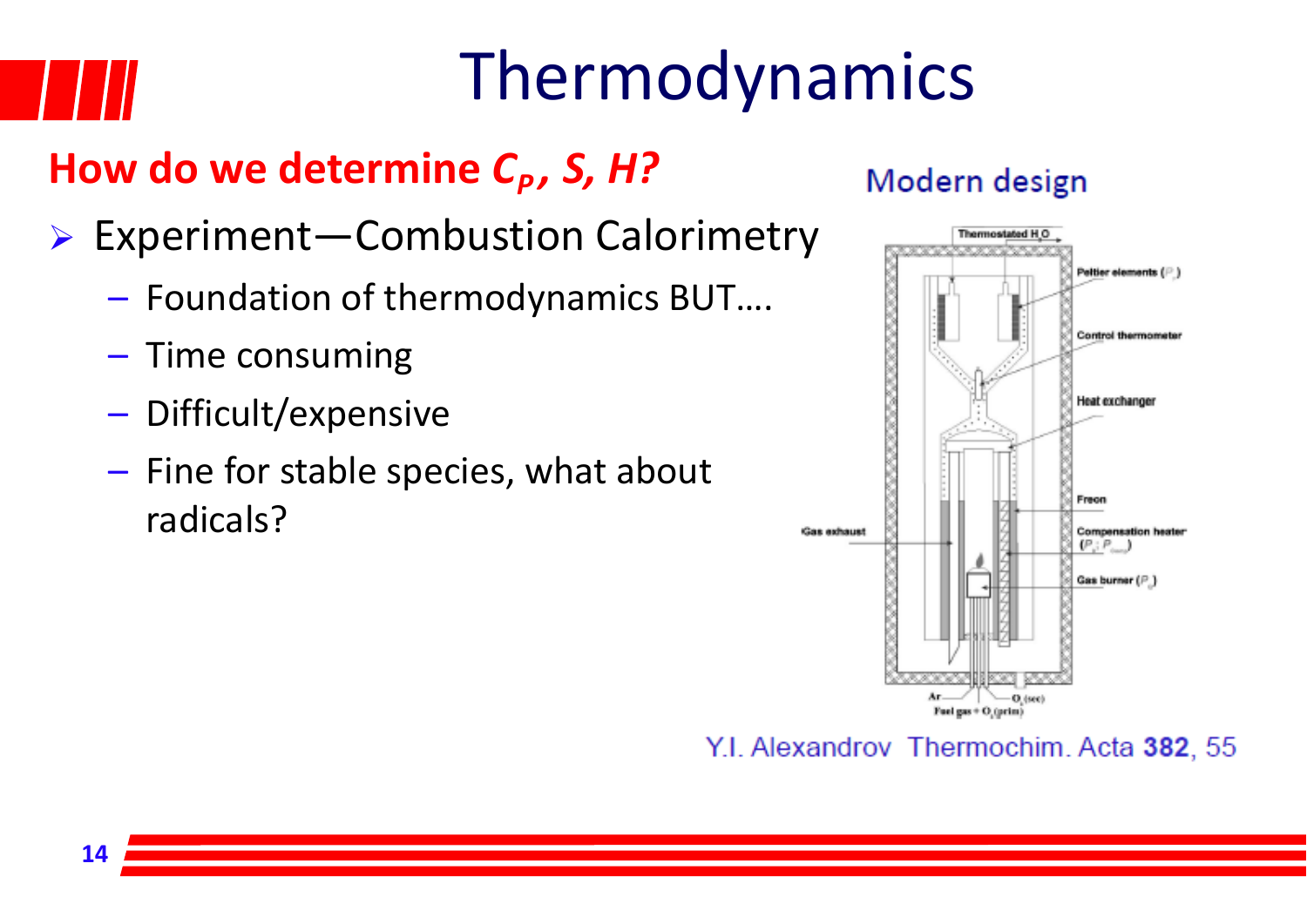## Thermodynamics

#### **How do we determine** *CP, S, H?*

- Experiment—Combustion Calorimetry
	- Foundation of thermodynamics BUT….
	- – $-$  Time consuming
	- Difficult/expensive
	- Fine for stable species, what about radicals?

#### Modern design



Y.I. Alexandrov Thermochim. Acta 382, 55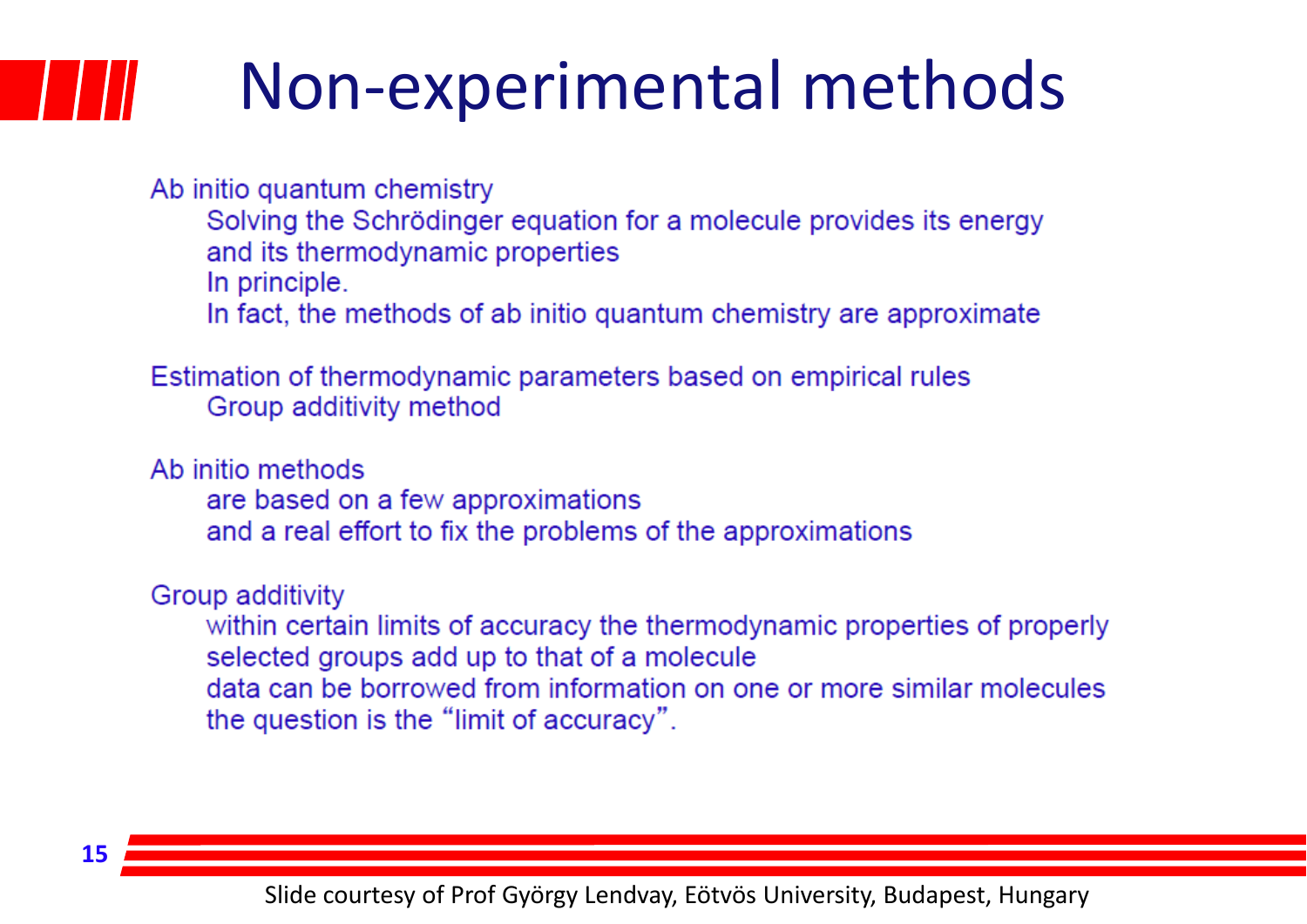### Non‐experimental methods

Ab initio quantum chemistry

Solving the Schrödinger equation for a molecule provides its energy and its thermodynamic properties

In principle.

In fact, the methods of ab initio quantum chemistry are approximate

Estimation of thermodynamic parameters based on empirical rules Group additivity method

Ab initio methods

are based on a few approximations and a real effort to fix the problems of the approximations

Group additivity

within certain limits of accuracy the thermodynamic properties of properly selected groups add up to that of a molecule data can be borrowed from information on one or more similar molecules the question is the "limit of accuracy".

**15**

Slide courtesy of Prof György Lendvay, Eötvös University, Budapest, Hungary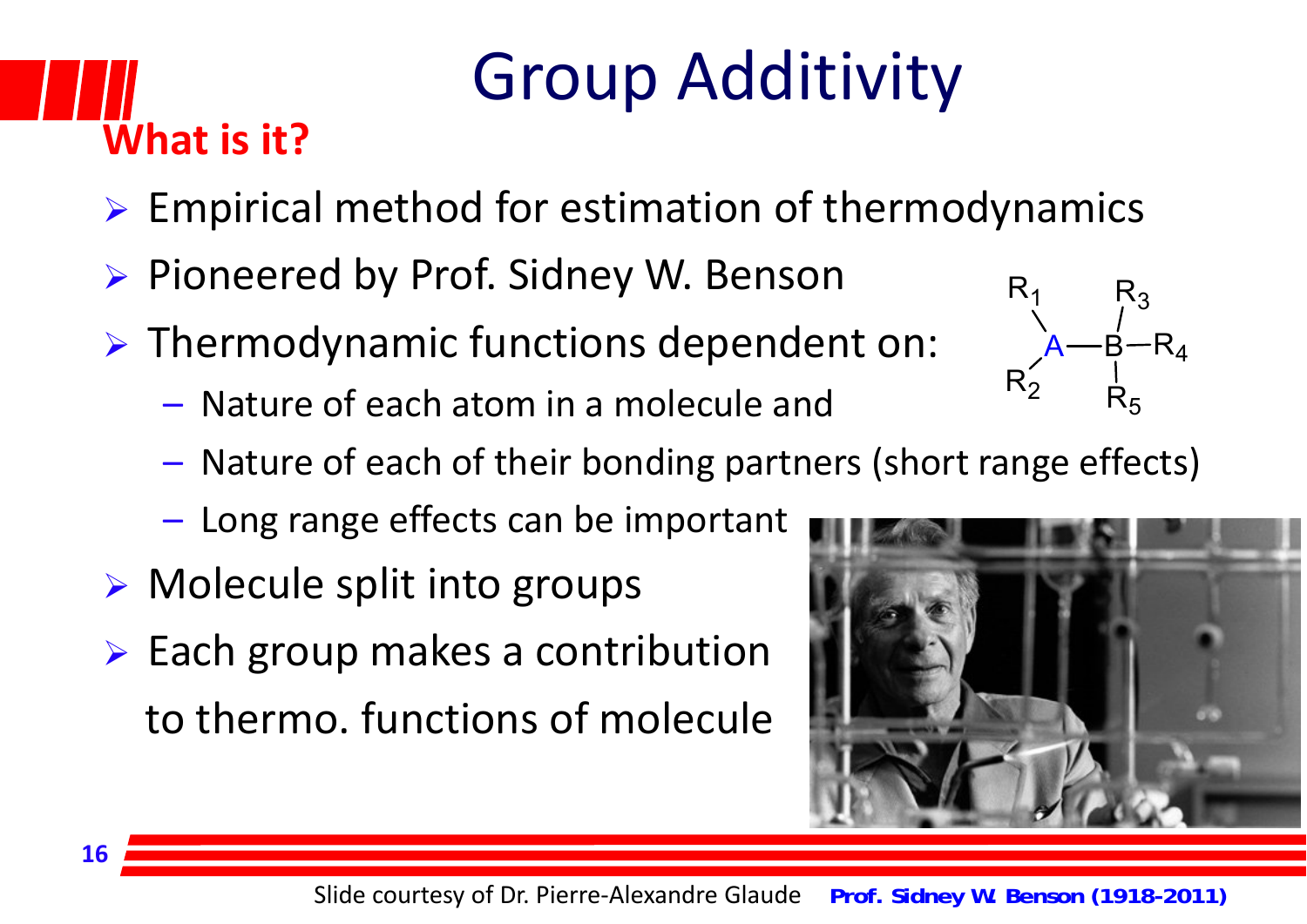## **What is it?**

## Group Additivity

- $\triangleright$  Empirical method for estimation of thermodynamics
- ▶ Pioneered by Prof. Sidney W. Benson
- Thermodynamic functions dependent on:
	- Nature of each atom in <sup>a</sup> molecule and
	- Nature of each of their bonding partners (short range effects)
	- Long range effects can be important
- Molecule split into groups
- $\triangleright$  Each group makes a contribution to thermo. functions of molecule



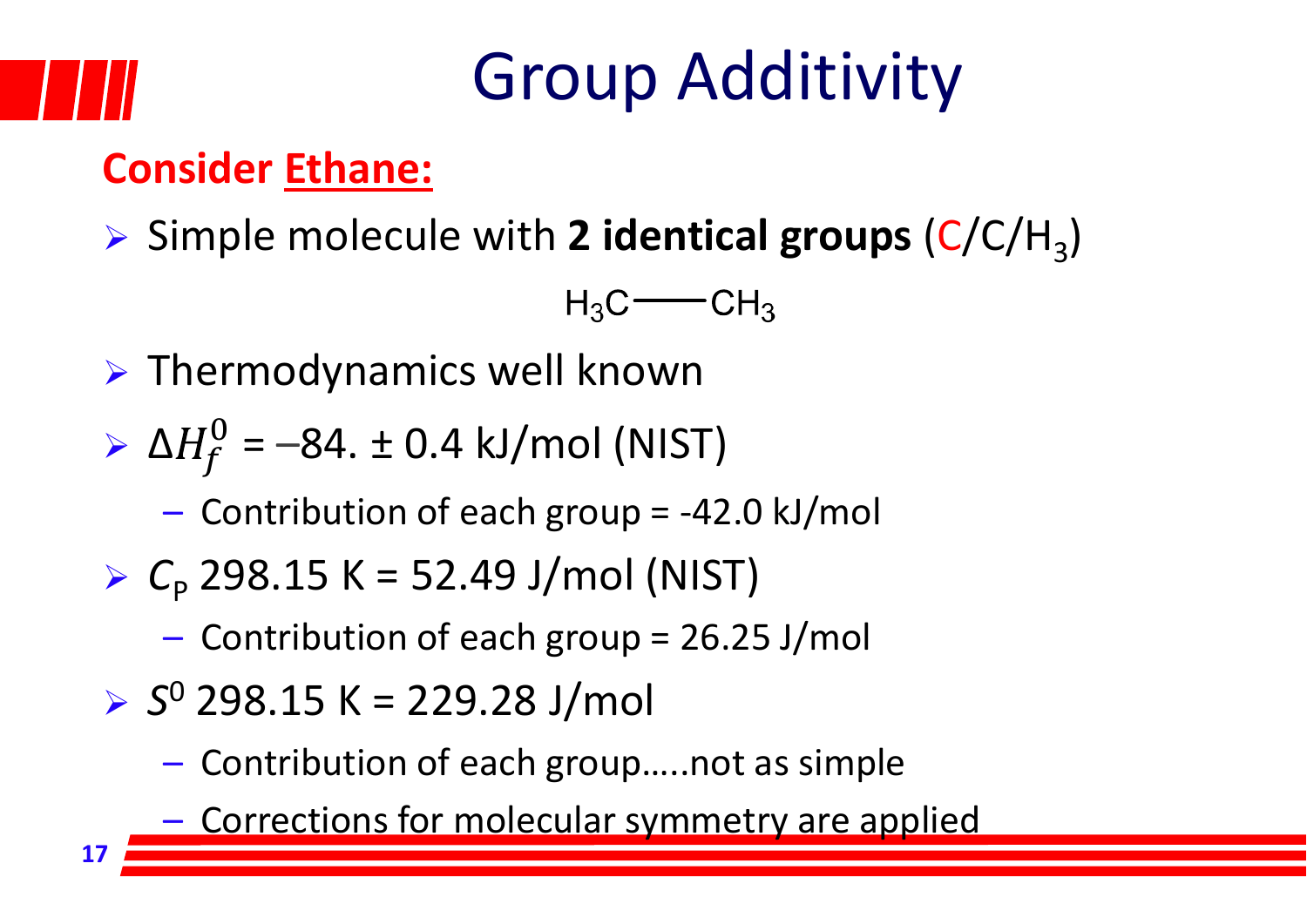#### **Consider Ethane:**

▶ Simple molecule with 2 identical groups (C/C/H<sub>3</sub>)

 $H_3C$  -  $CH_3$ 

 $\triangleright$  Thermodynamics well known

$$
\triangleright \ \Delta H_f^0 = -84. \pm 0.4 \ \text{kJ/mol (NIST)}
$$

- Contribution of each group <sup>=</sup> ‐42.0 kJ/mol
- $\triangleright$   $C_{p}$  298.15 K = 52.49 J/mol (NIST)
	- Contribution of each group <sup>=</sup> 26.25 J/mol
- *S*<sup>0</sup> 298.15 K <sup>=</sup> 229.28 J/mol
	- Contribution of each group…..not as simple
	- **Corrections for molecular symmetry are applied**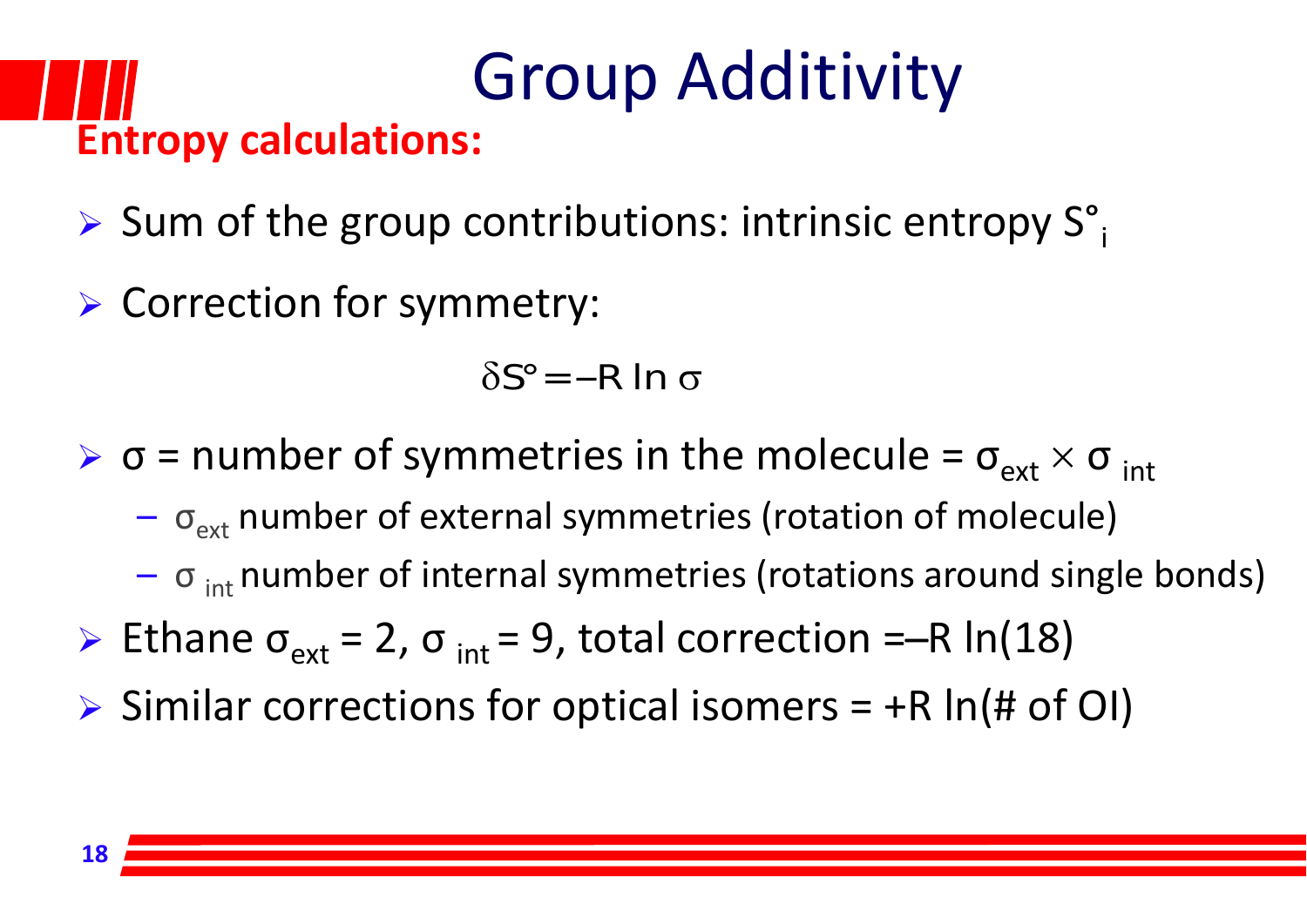#### Group Additivity **Entropy calculations:**

- Sum of the group contributions: intrinsic entropy  $S^{\circ}$
- Correction for symmetry:

 $\delta {\mathsf S}^\circ$ = —R ln  $\sigma$ 

- $\triangleright$   $\sigma$  = number of symmetries in the molecule =  $\sigma_{ext} \times \sigma_{int}$ 
	- $\sigma_{\text{ext}}$  number of external symmetries (rotation of molecule)
	- $\sigma$  <sub>int</sub> number of internal symmetries (rotations around single bonds)
- Ethane  $\sigma_{ext}$  = 2,  $\sigma_{int}$  = 9, total correction =–R ln(18)
- $\triangleright$  Similar corrections for optical isomers = +R ln(# of OI)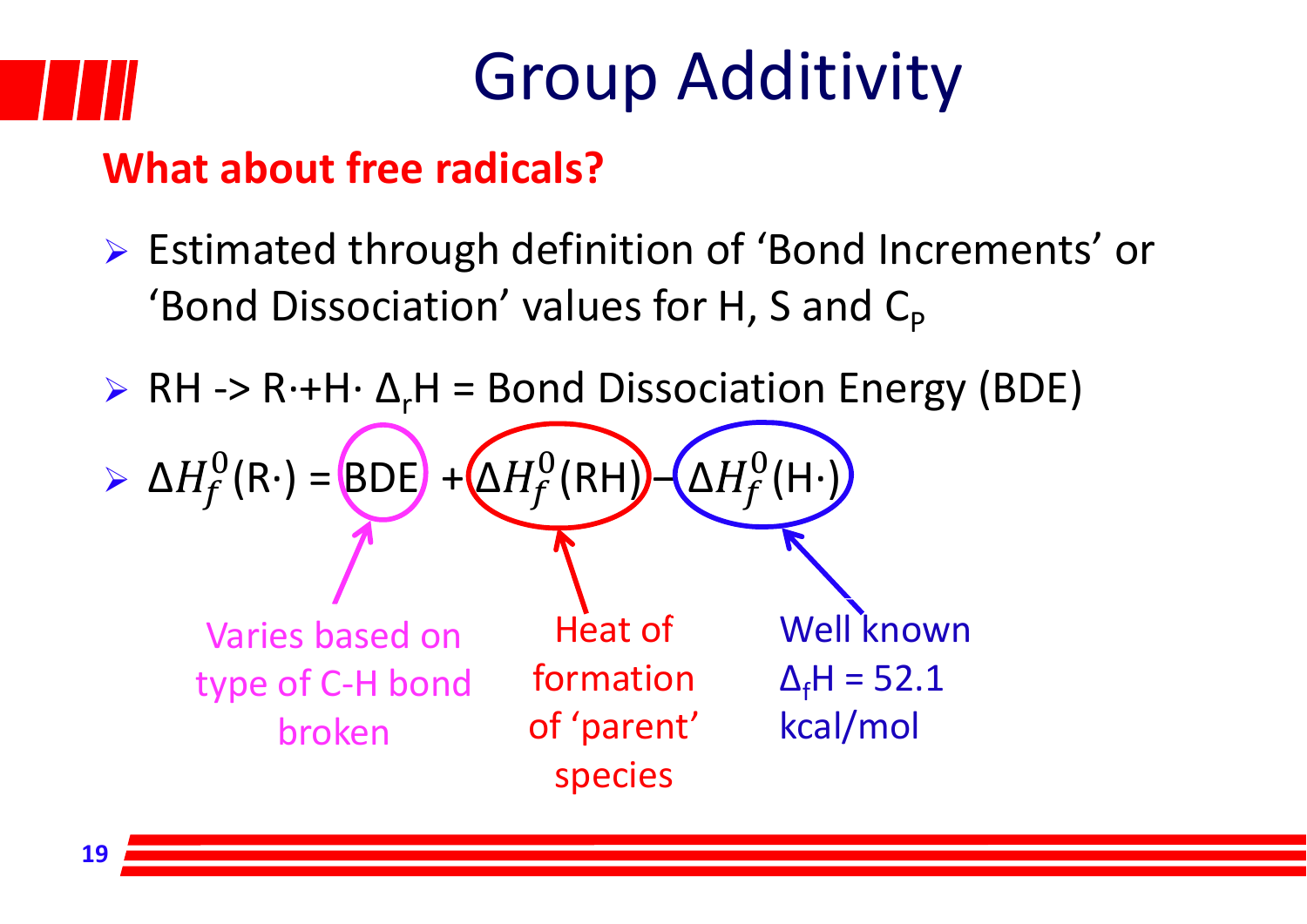

#### **What about free radicals?**

- Estimated through definition of 'Bond Increments' or 'Bond Dissociation' values for H, S and  $\mathsf{C}_\mathsf{p}$
- ► RH -> R·+H· Δ<sub>r</sub>H = Bond Dissociation Energy (BDE)

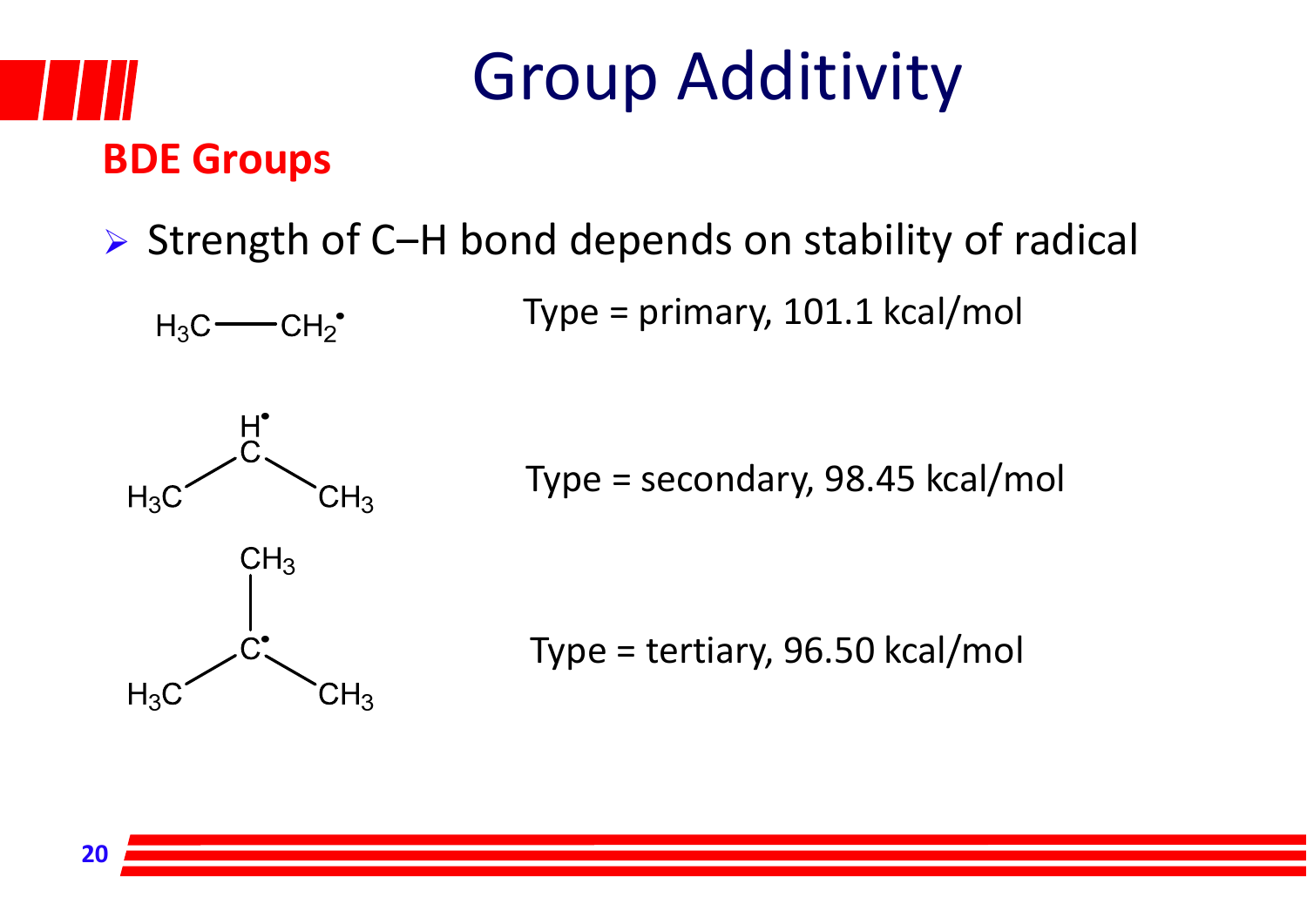

#### $\triangleright$  Strength of C-H bond depends on stability of radical

Type <sup>=</sup> primary, 101.1 kcal/mol



 $H_3C$  -  $CH_2^{\bullet}$ 

Type <sup>=</sup> secondary, 98.45 kcal/mol

Type <sup>=</sup> tertiary, 96.50 kcal/mol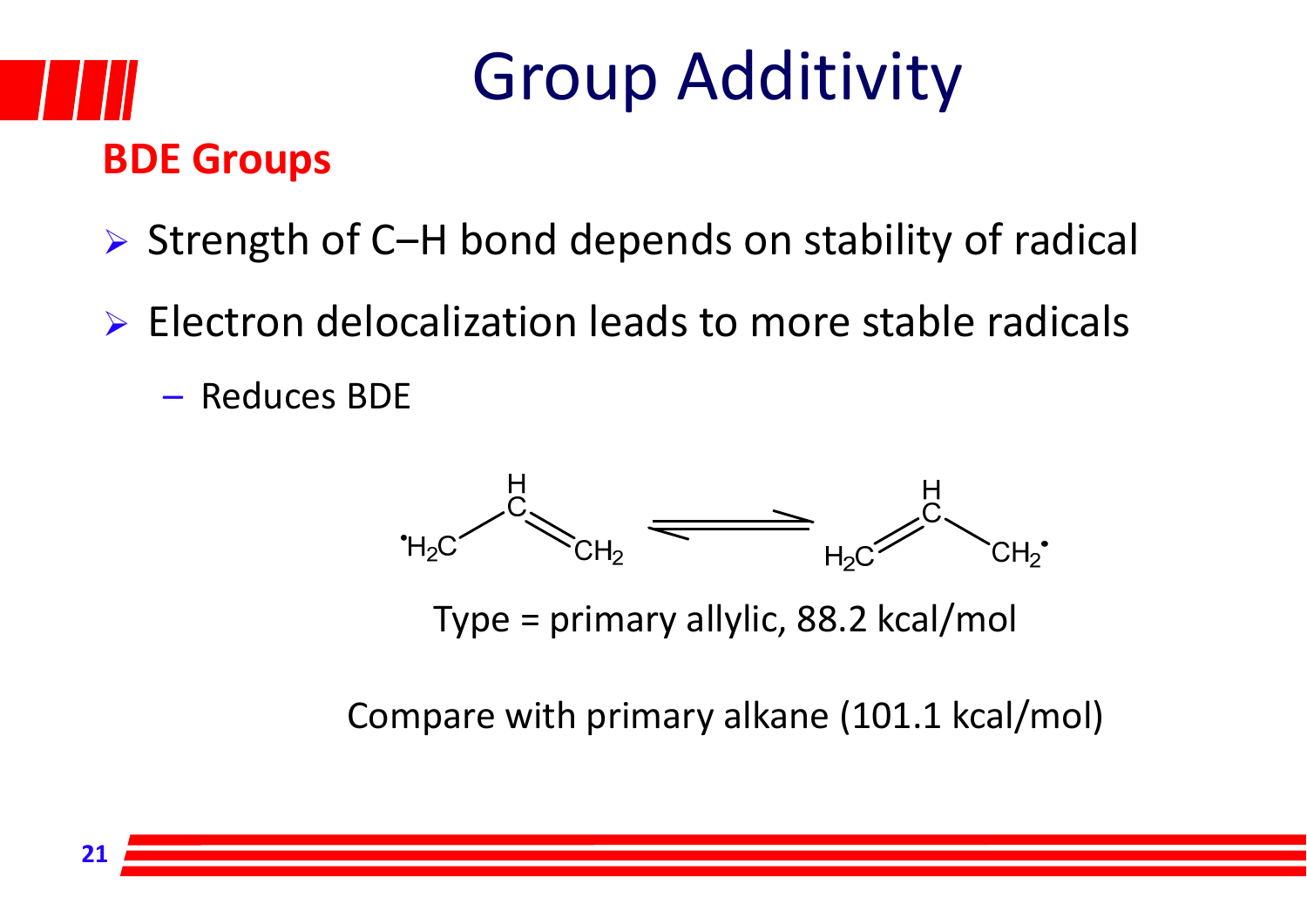#### **BDE Groups**

- $\triangleright$  Strength of C-H bond depends on stability of radical
- Electron delocalization leads to more stable radicals
	- Reduces BDE



Type <sup>=</sup> primary allylic, 88.2 kcal/mol

Compare with primary alkane (101.1 kcal/mol)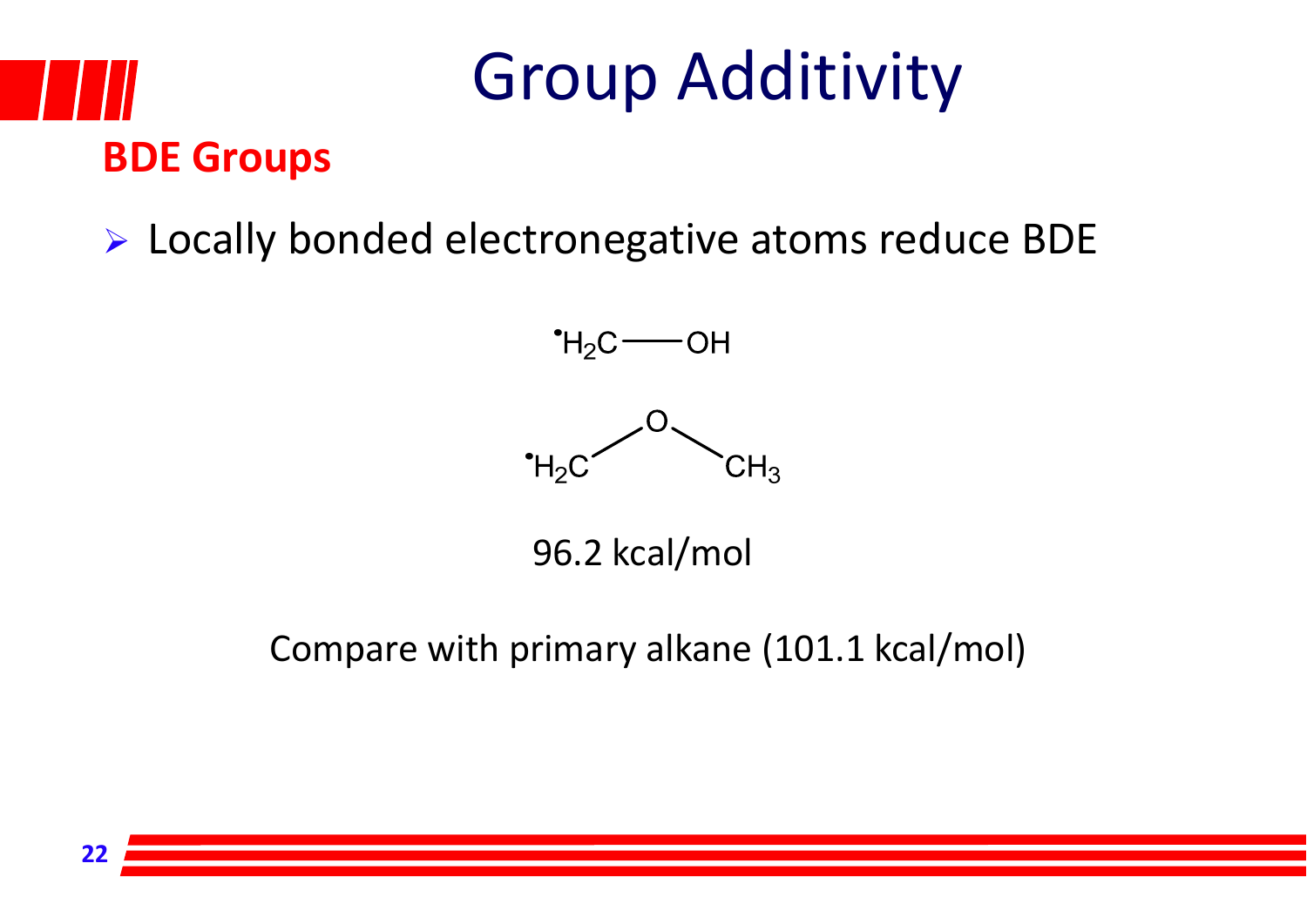# **BDE Groups**

### Group Additivity

#### Locally bonded electronegative atoms reduce BDE



96.2 kcal/mol

#### Compare with primary alkane (101.1 kcal/mol)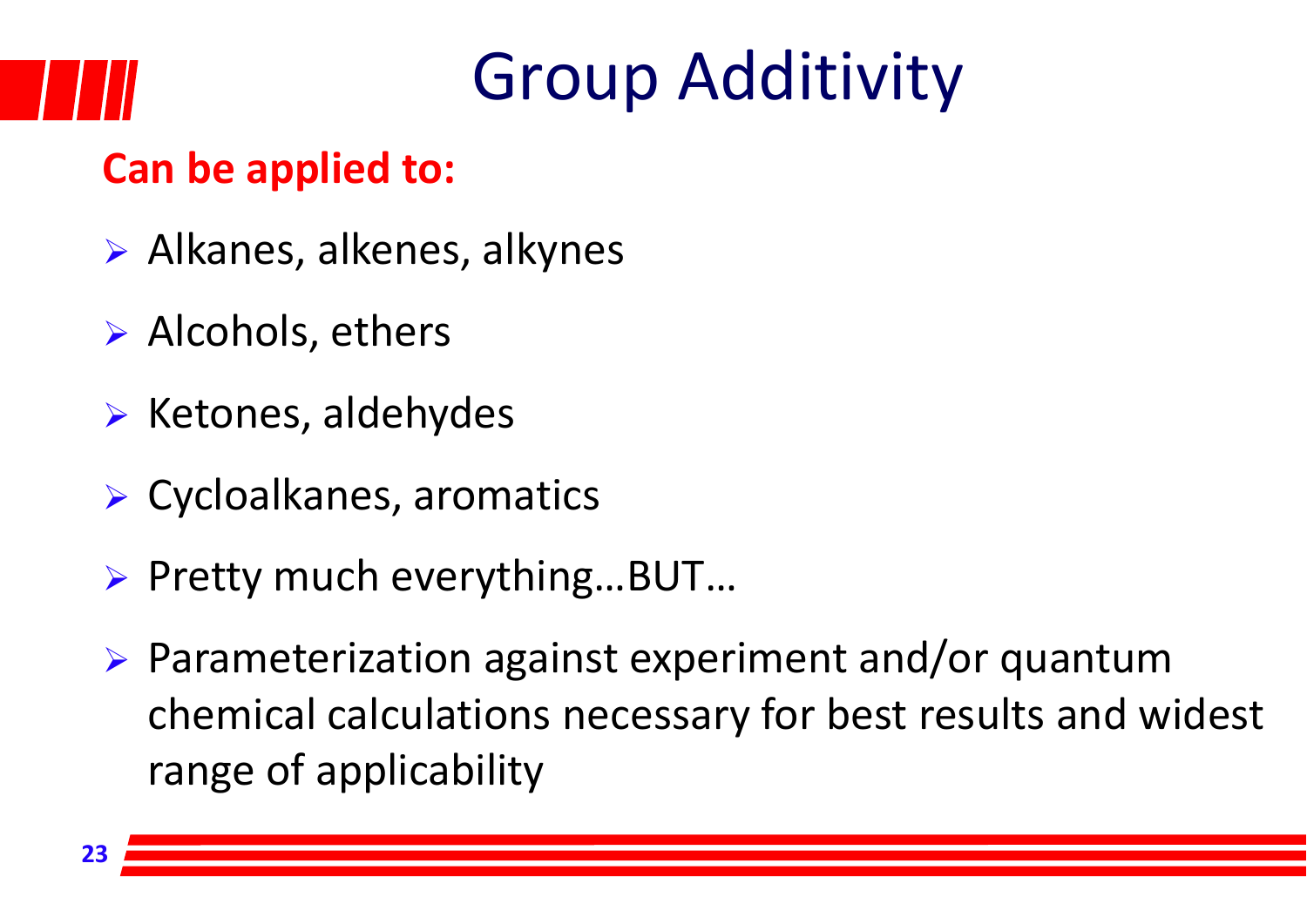#### **Can be applied to:**

- Alkanes, alkenes, alkynes
- $\triangleright$  Alcohols, ethers
- $\triangleright$  Ketones, aldehydes
- Cycloalkanes, aromatics
- Pretty much everything…BUT…
- Parameterization against experiment and/or quantum chemical calculations necessary for best results and widest range of applicability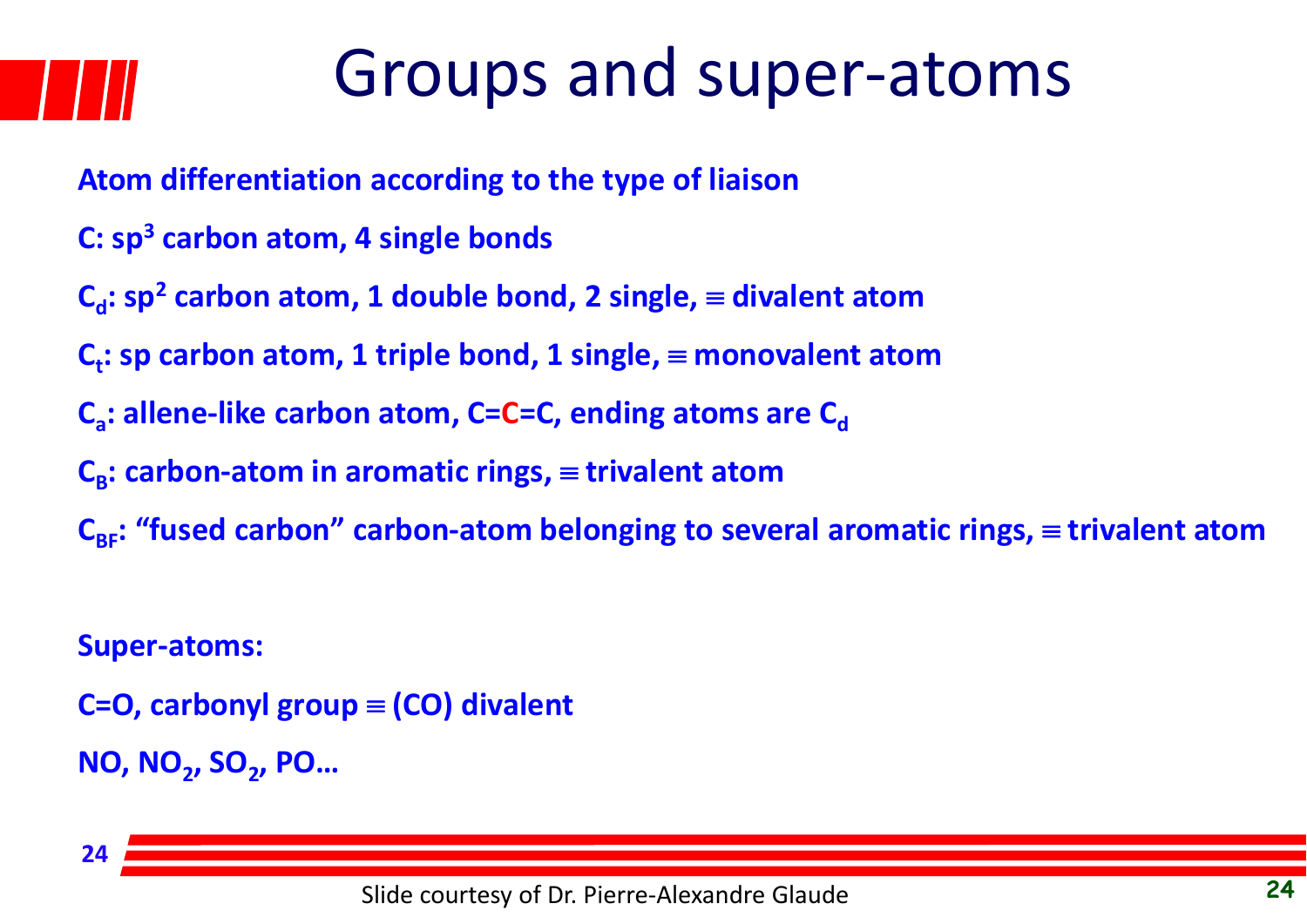### Groups and super‐atoms

- **Atom differentiation according to the type of liaison**
- **C: sp<sup>3</sup> carbon atom, 4 single bonds**
- $C_d$ :  $sp^2$  carbon atom, 1 double bond, 2 single,  $\equiv$  divalent atom
- $C_t$ : sp carbon atom, 1 triple bond, 1 single,  $\equiv$  monovalent atom
- **C<sub>a</sub>: allene-like carbon atom, C=C=C, ending atoms are C<sub>d</sub>**
- $C_{\rm R}$ : carbon-atom in aromatic rings,  $\equiv$  trivalent atom
- **C<sub>BF</sub>: "fused carbon" carbon-atom belonging to several aromatic rings,**  $\equiv$  **trivalent atom**

#### **Super‐atoms:**

**C=O, carbonyl group (CO) divalent NO, NO2, SO2, PO…**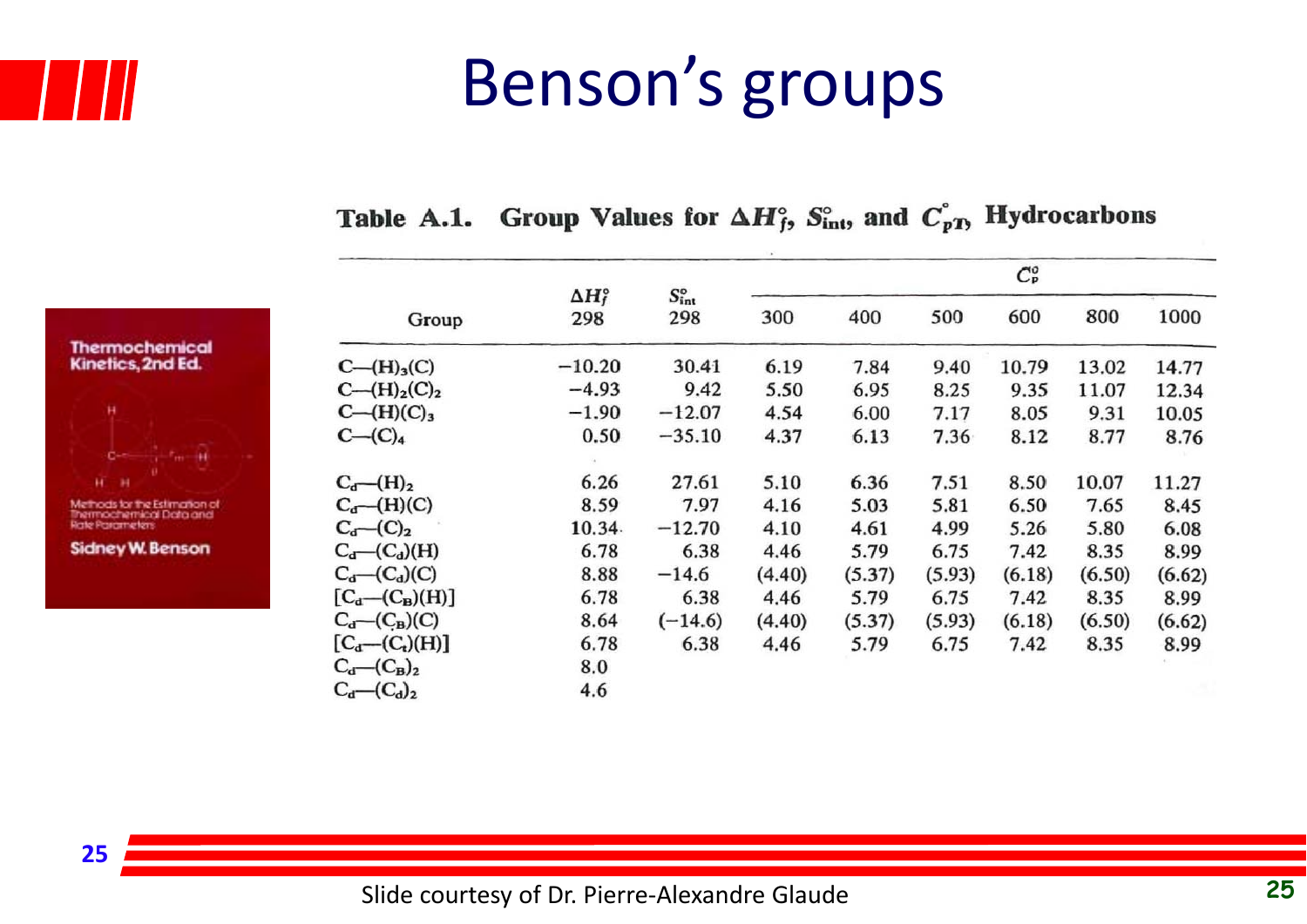

**Thermochemical** Kinetics, 2nd Ed.

**Sidney W. Benson** 

## Benson's groups

|                                       |                             |                              |                                     |        |        | $C_{\rm P}^o$ |        |        |
|---------------------------------------|-----------------------------|------------------------------|-------------------------------------|--------|--------|---------------|--------|--------|
| Group                                 | $\Delta H_f^{\circ}$<br>298 | $S_{\rm int}^{\circ}$<br>298 | 400<br>300<br>30.41<br>6.19<br>7.84 | 500    | 600    | 800           | 1000   |        |
| $C - (H)3(C)$                         | $-10.20$                    |                              |                                     |        | 9.40   | 10.79         | 13.02  | 14.77  |
| $C - (H)2(C)2$                        | $-4.93$                     | 9.42                         | 5.50                                | 6.95   | 8.25   | 9.35          | 11.07  | 12.34  |
| $C - (H)(C)3$                         | $-1.90$                     | $-12.07$                     | 4.54                                | 6.00   | 7.17   | 8.05          | 9.31   | 10.05  |
| $C - (C)4$                            | 0.50                        | $-35.10$                     | 4.37                                | 6.13   | 7.36   | 8.12          | 8.77   | 8.76   |
| $C_d$ (H) <sub>2</sub>                | 6.26                        | 27.61                        | 5.10                                | 6.36   | 7.51   | 8.50          | 10.07  | 11.27  |
| $C_d$ (H)(C)                          | 8.59                        | 7.97                         | 4.16                                | 5.03   | 5.81   | 6.50          | 7.65   | 8.45   |
| $C_{d}$ – $(C)_{2}$                   | 10.34                       | $-12.70$                     | 4.10                                | 4.61   | 4.99   | 5.26          | 5.80   | 6.08   |
| $C_{d}$ (C <sub>d</sub> )(H)          | 6.78                        | 6.38                         | 4.46                                | 5.79   | 6.75   | 7.42          | 8.35   | 8.99   |
| $C_d$ (C <sub>d</sub> )(C)            | 8.88                        | $-14.6$                      | (4.40)                              | (5.37) | (5.93) | (6.18)        | (6.50) | (6.62) |
| $[C_d-(C_B)(H)]$                      | 6.78                        | 6.38                         | 4.46                                | 5.79   | 6.75   | 7.42          | 8.35   | 8.99   |
| $C_{\mathbf{d}}$ (C <sub>B</sub> )(C) | 8.64                        | $(-14.6)$                    | (4.40)                              | (5.37) | (5.93) | (6.18)        | (6.50) | (6.62) |
| $[C_d - (C_t)(H)]$                    | 6.78                        | 6.38                         | 4.46                                | 5.79   | 6.75   | 7.42          | 8.35   | 8.99   |
| $C_d$ $(C_B)_2$                       | 8.0                         |                              |                                     |        |        |               |        |        |
| $C_d$ – $(C_d)_2$                     | 4.6                         |                              |                                     |        |        |               |        |        |

#### Table A.1. Group Values for  $\Delta H_f^{\circ}$ ,  $S_{\text{int}}^{\circ}$ , and  $C_{pT}^{\circ}$ , Hydrocarbons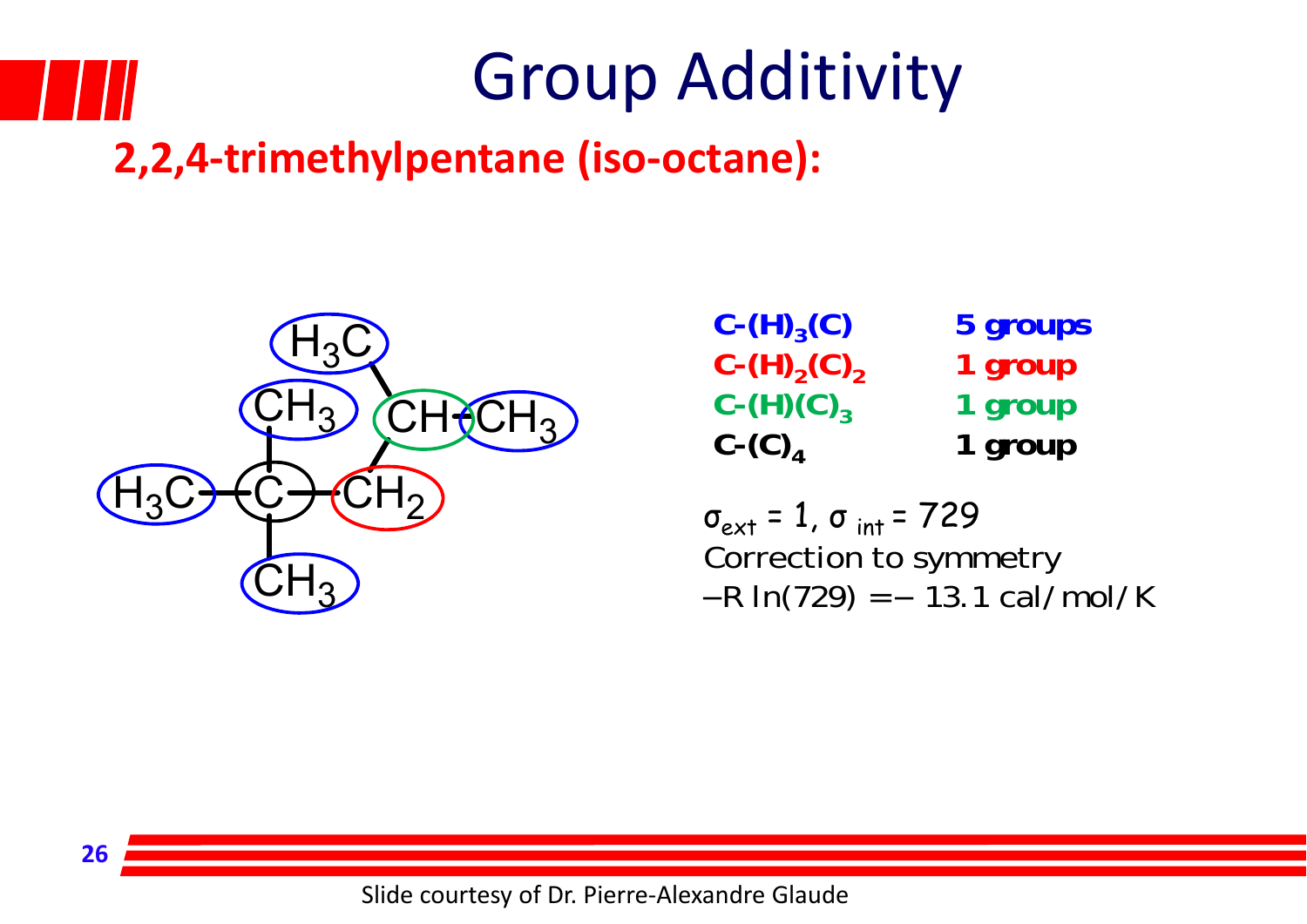

**26**

## Group Additivity

#### **2,2,4‐trimethylpentane (iso‐octane):**



|                | $C - (H)_{3}(C)$                            | 5 groups |
|----------------|---------------------------------------------|----------|
| $H_3C$         | $C-(H)_{2}(C)_{2}$                          | 1 group  |
| $13)$ $CH2CH3$ | $C-(H)(C)_{3}$                              | 1 group  |
|                | $C$ - $(C)$ <sub><math>\Lambda</math></sub> | 1 group  |

σ<sub>ext</sub> = 1, σ <sub>int</sub> = 729 Correction to symmetry  $-R \ln(729) = -13.1 \text{ cal/mol/K}$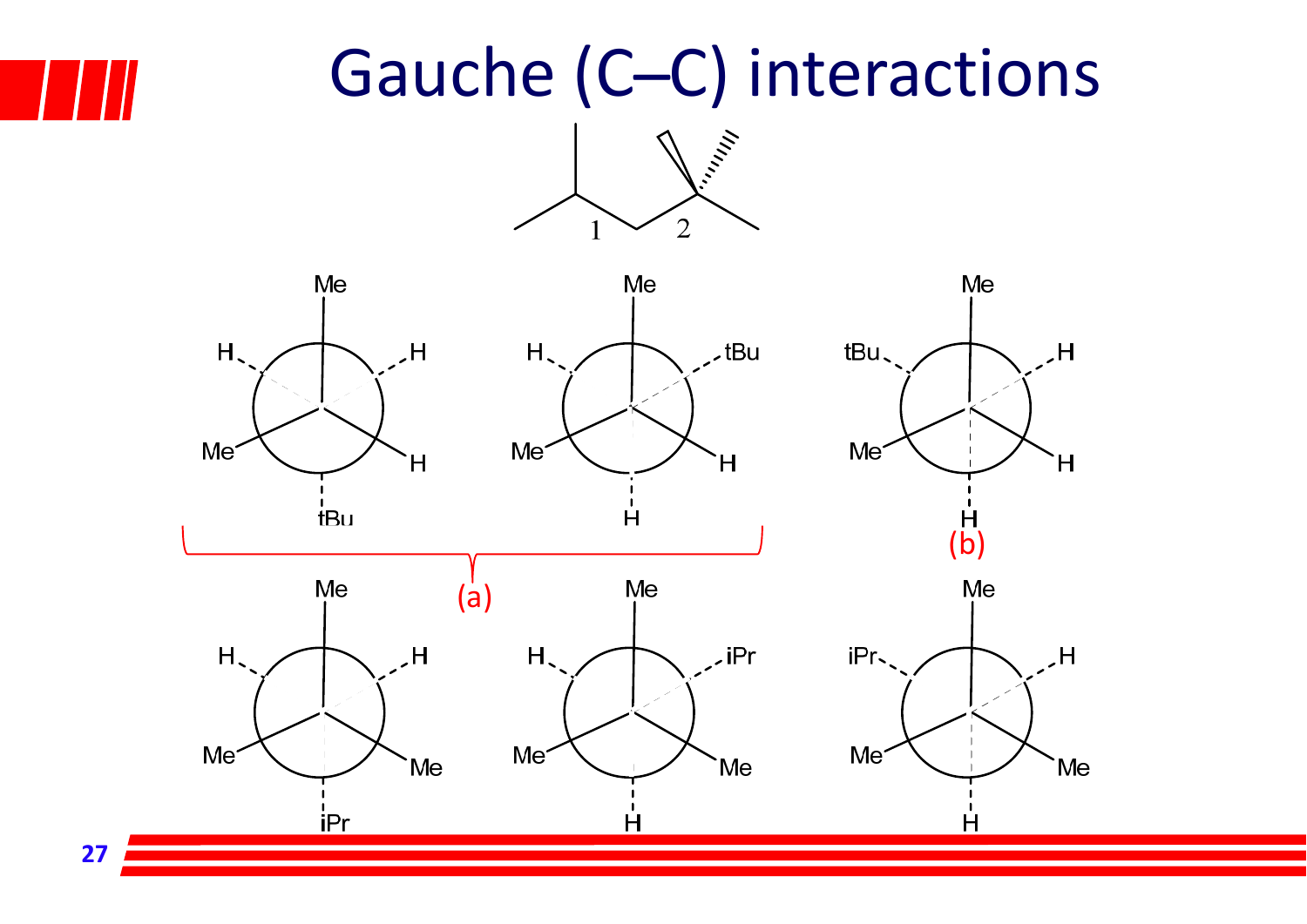**27**

### Gauche (C–C) interactions



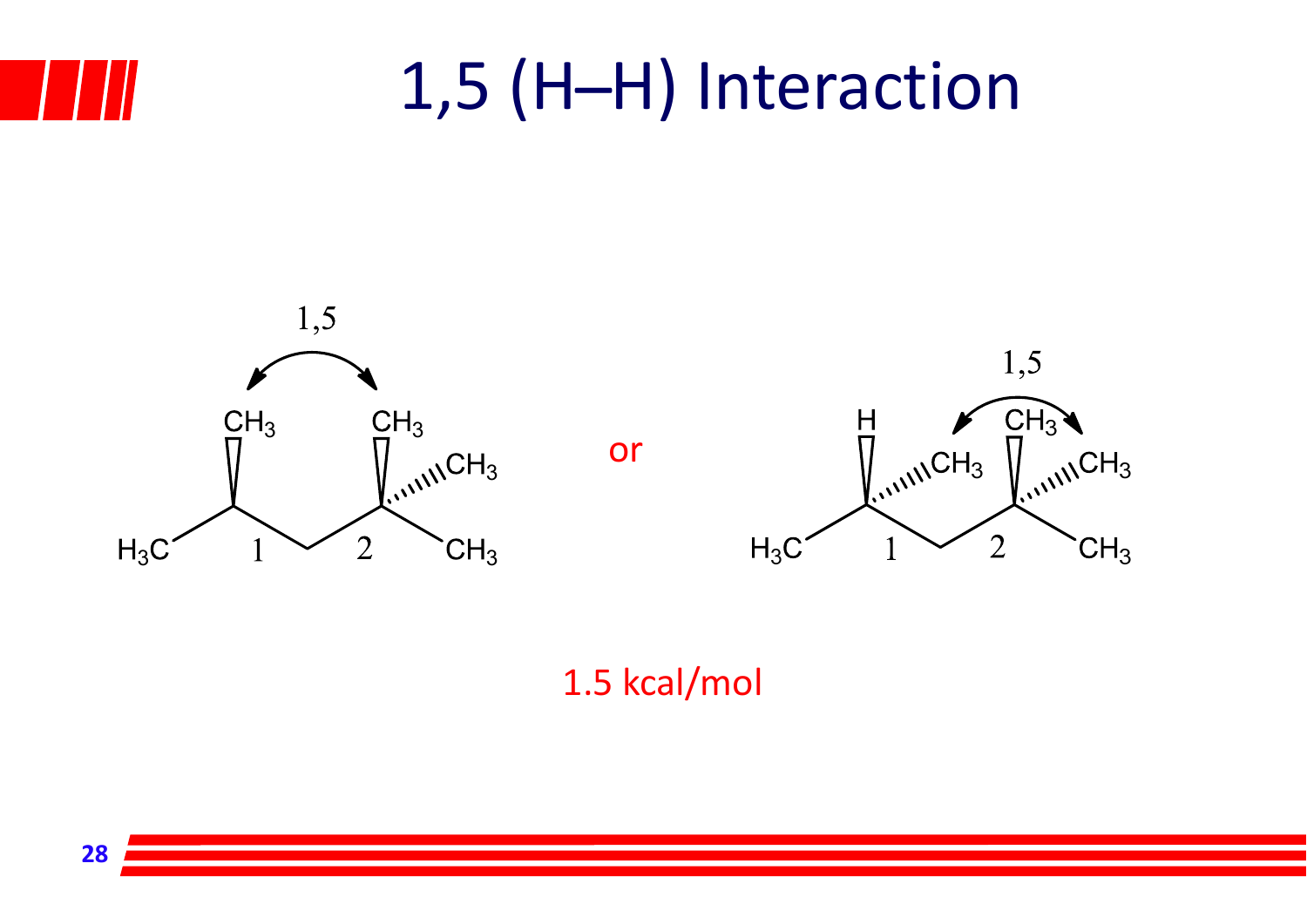## 1,5 (H-H) Interaction





1.5 kcal/mol

or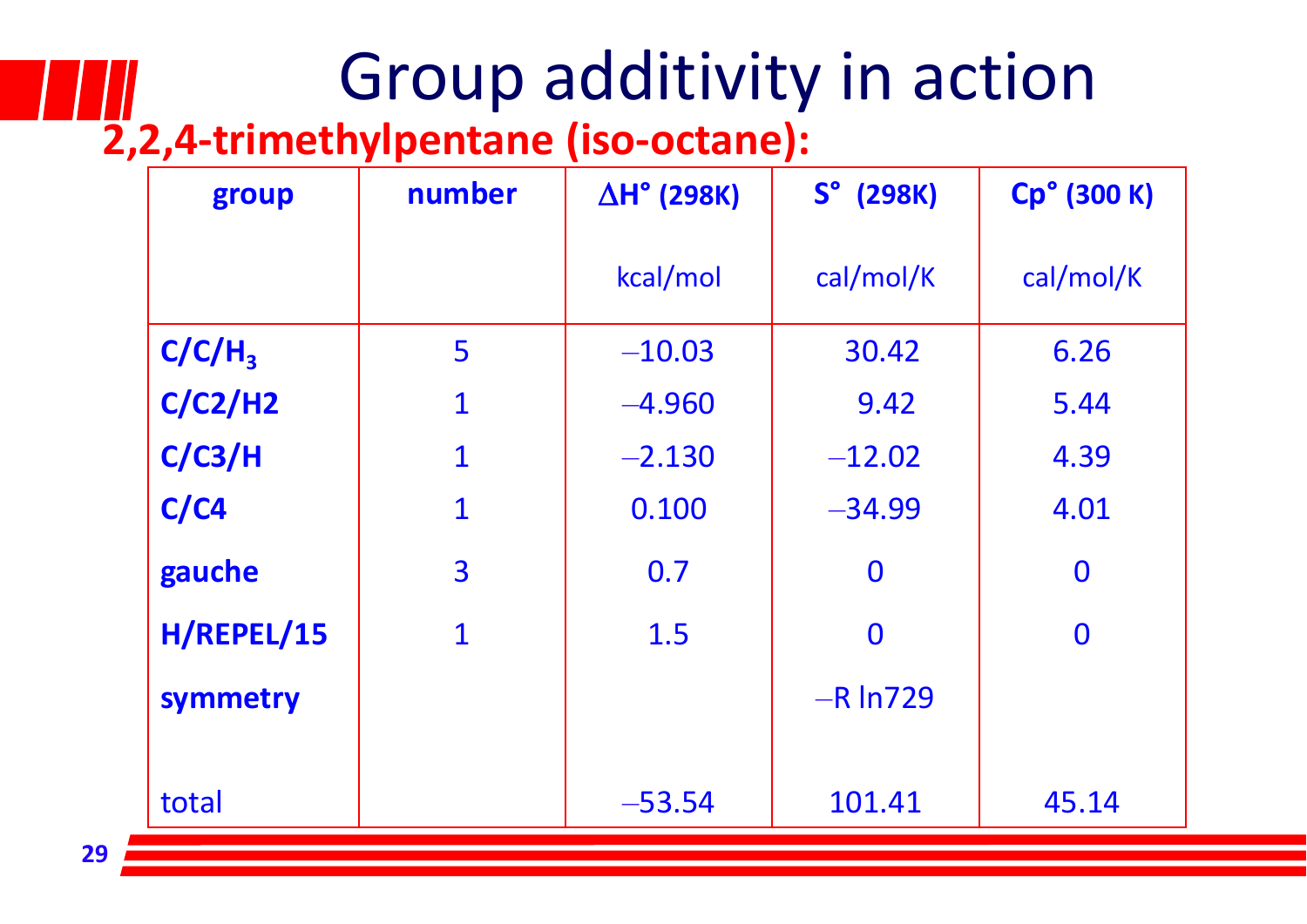## Group additivity in action

#### **2,2,4‐trimethylpentane (iso‐octane):**

| group              | number      | $\Delta H^{\circ}$ (298K) | $So$ (298K)    | Cp° (300 K) |  |
|--------------------|-------------|---------------------------|----------------|-------------|--|
|                    |             | kcal/mol                  | cal/mol/K      | cal/mol/K   |  |
| C/C/H <sub>3</sub> | 5           | $-10.03$                  | 30.42          | 6.26        |  |
| C/C2/H2            | $\mathbf 1$ | $-4.960$                  | 9.42           | 5.44        |  |
| C/C3/H             | $\mathbf 1$ | $-2.130$                  | $-12.02$       | 4.39        |  |
| C/C4               | $\mathbf 1$ | 0.100                     | $-34.99$       | 4.01        |  |
| gauche             | 3           | 0.7                       | $\bf{0}$       | $\bf{0}$    |  |
| H/REPEL/15         | $\mathbf 1$ | 1.5                       | $\overline{0}$ | $\bf{0}$    |  |
| symmetry           |             |                           | $-R \ln 729$   |             |  |
|                    |             |                           |                |             |  |
| total              |             | $-53.54$                  | 101.41         | 45.14       |  |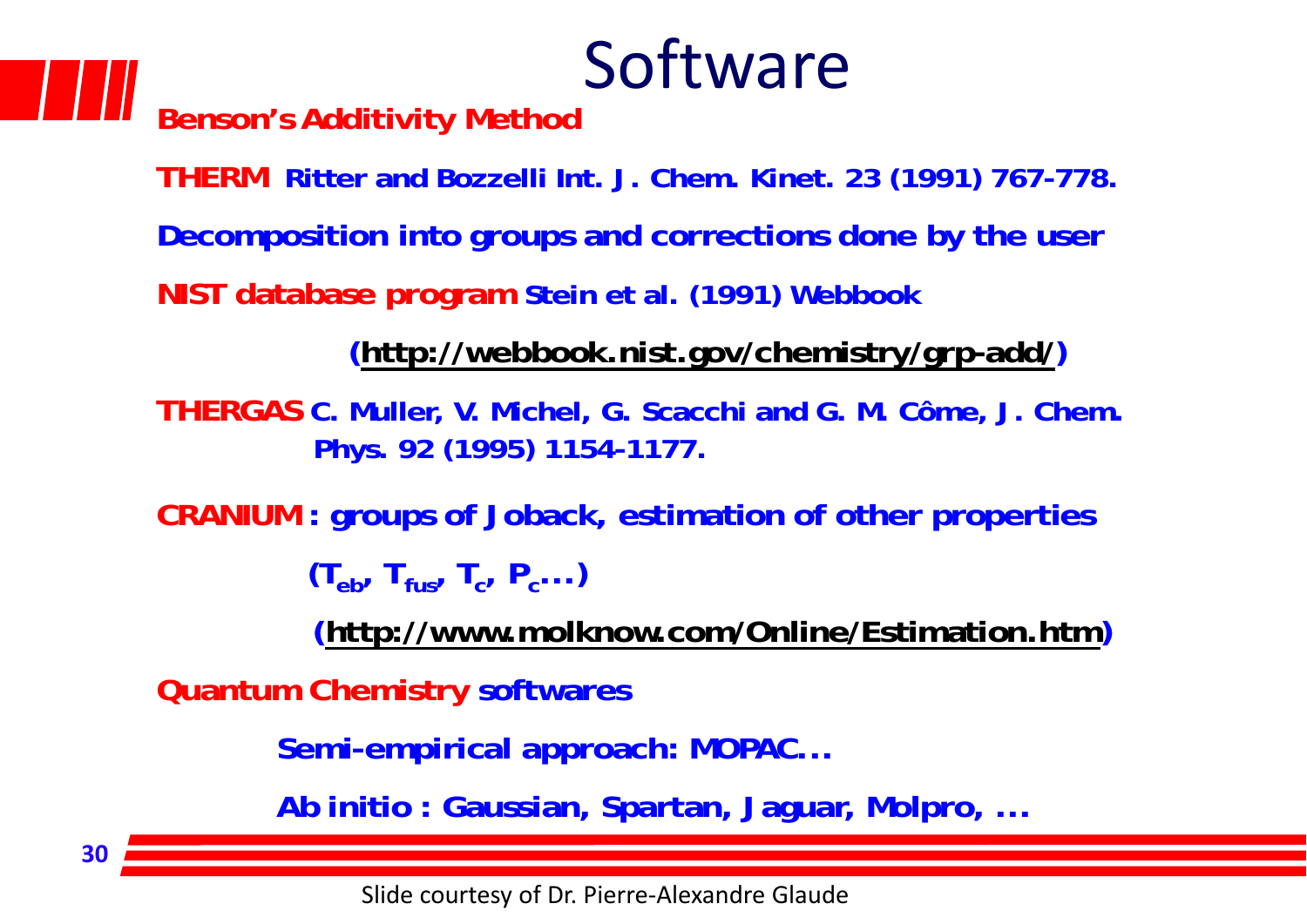### Software

**Benson's Additivity Method**

**THERM Ritter and Bozzelli Int. J. Chem. Kinet. 23 (1991) 767-778.**

**Decomposition into groups and corrections done by the user**

**NIST database program Stein et al. (1991) Webbook**

**(http://webbook.nist.gov/chemistry/grp-add/)**

**THERGAS C. Muller, V. Michel, G. Scacchi and G. M. Côme, J. Chem. Phys. 92 (1995) 1154-1177.**

**CRANIUM : groups of Joback, estimation of other properties**

 $(T_{\rm e\,}/T_{\rm fus}, T_{\rm c}, P_{\rm c} ...)$ 

**(http://www.molknow.com/Online/Estimation.htm)**

**Quantum Chemistry softwares**

**Semi-empirical approach: MOPAC...**

**Ab initio : Gaussian, Spartan, Jaguar, Molpro, ...**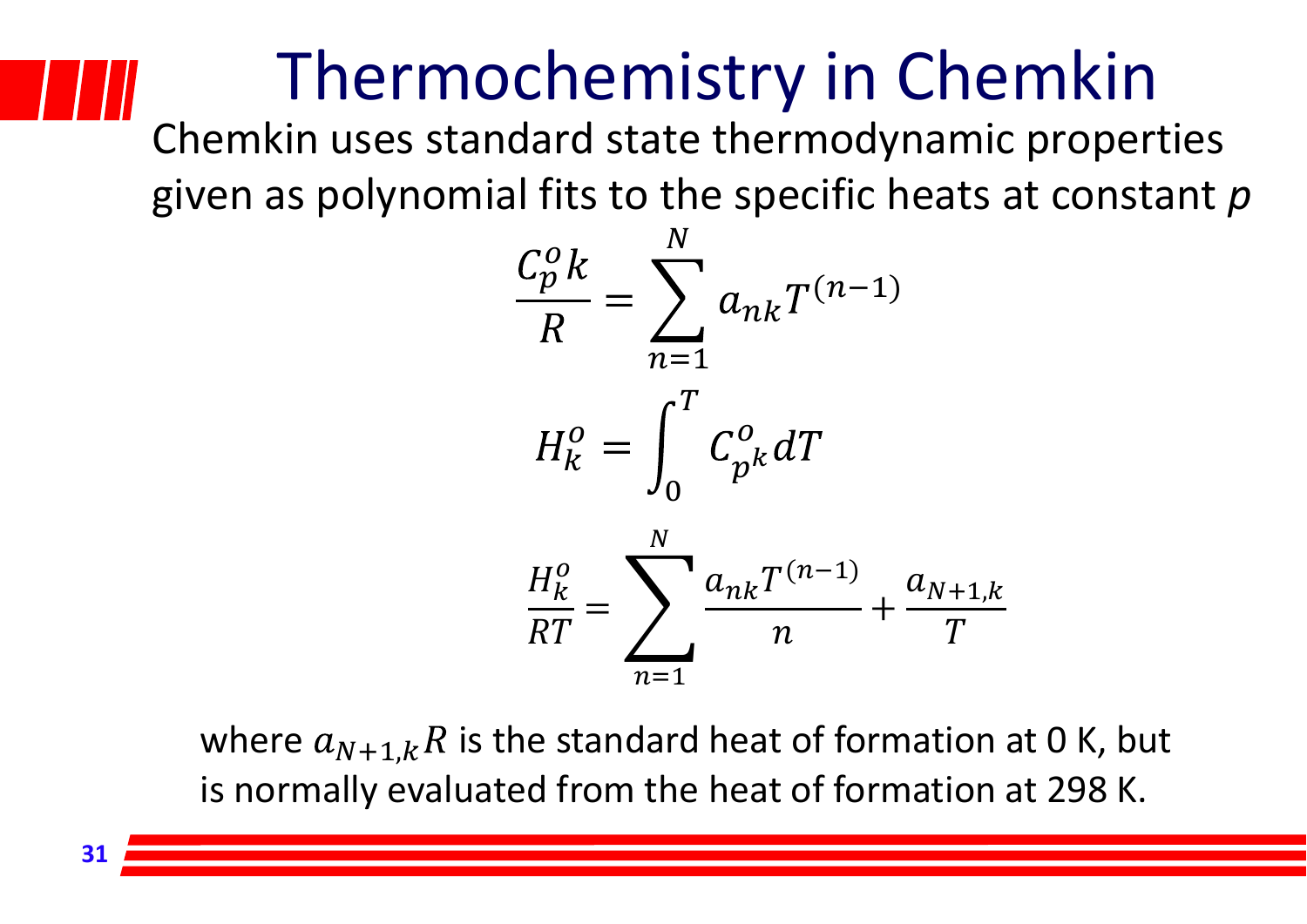### Thermochemistry in Chemkin

Chemkin uses standard state thermodynamic properties given as polynomial fits to the specific heats at constant *p*



where  $a_{N+1,k} R$  is the standard heat of formation at 0 K, but is normally evaluated from the heat of formation at 298 K.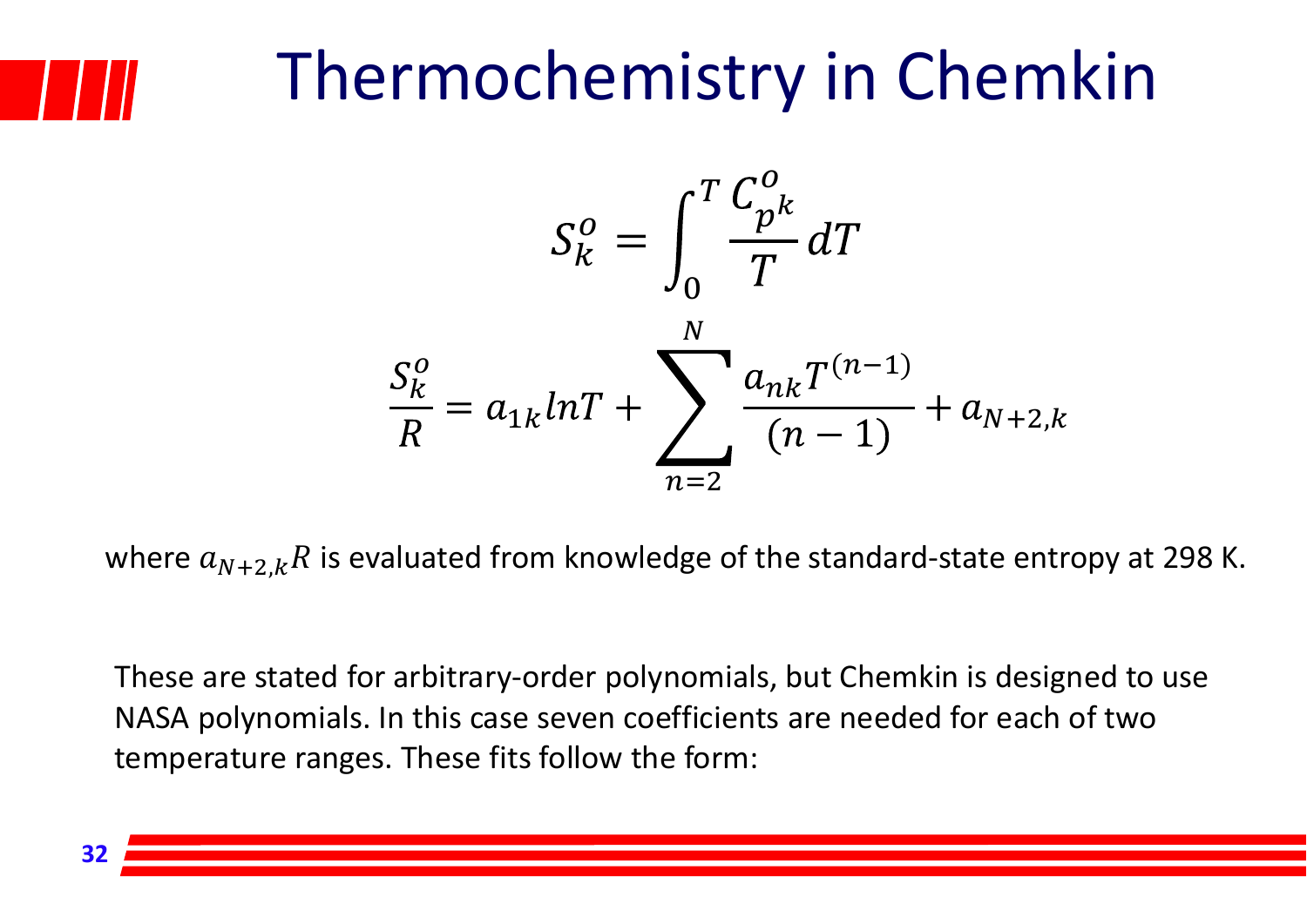

### Thermochemistry in Chemkin



where  $a_{N+2,k}R$  is evaluated from knowledge of the standard-state entropy at 298 K.

These are stated for arbitrary‐order polynomials, but Chemkin is designed to use NASA polynomials. In this case seven coefficients are needed for each of two temperature ranges. These fits follow the form: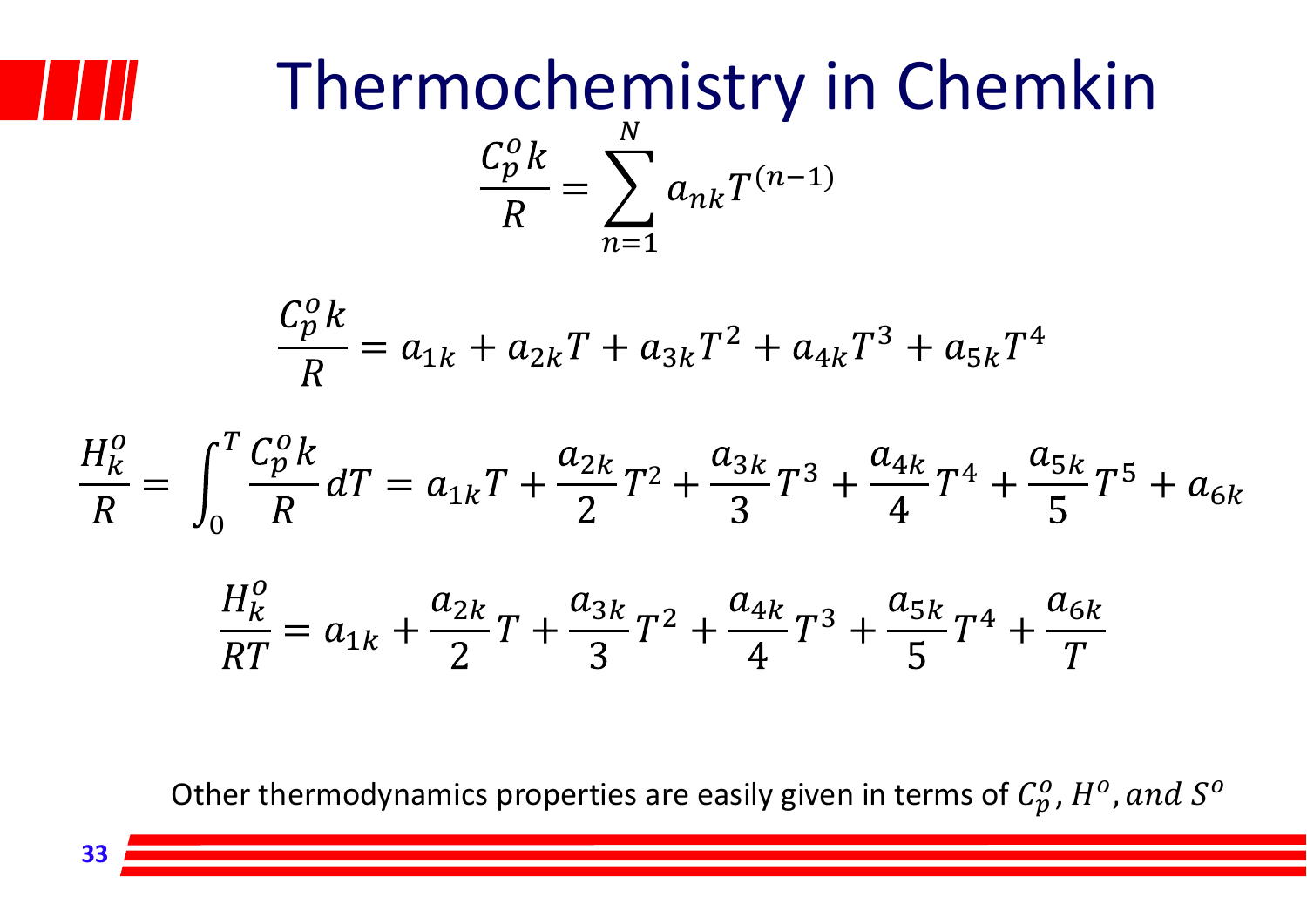

#### $\,p\,$ 0  $n k^{n(n-1)}$  $\bm{N}$  $n\!=\!1$ Thermochemistry in Chemkin

$$
\frac{C_p^0 k}{R} = a_{1k} + a_{2k}T + a_{3k}T^2 + a_{4k}T^3 + a_{5k}T^4
$$

$$
\frac{H_k^o}{R} = \int_0^T \frac{C_p^o k}{R} dT = a_{1k}T + \frac{a_{2k}}{2}T^2 + \frac{a_{3k}}{3}T^3 + \frac{a_{4k}}{4}T^4 + \frac{a_{5k}}{5}T^5 + a_{6k}
$$

$$
\frac{H_k^o}{RT} = a_{1k} + \frac{a_{2k}}{2}T + \frac{a_{3k}}{3}T^2 + \frac{a_{4k}}{4}T^3 + \frac{a_{5k}}{5}T^4 + \frac{a_{6k}}{T}
$$

Other thermodynamics properties are easily given in terms of  $\mathcal{C}^o_p$  ,  $H^o$  ,  $and~\mathcal{S}^o$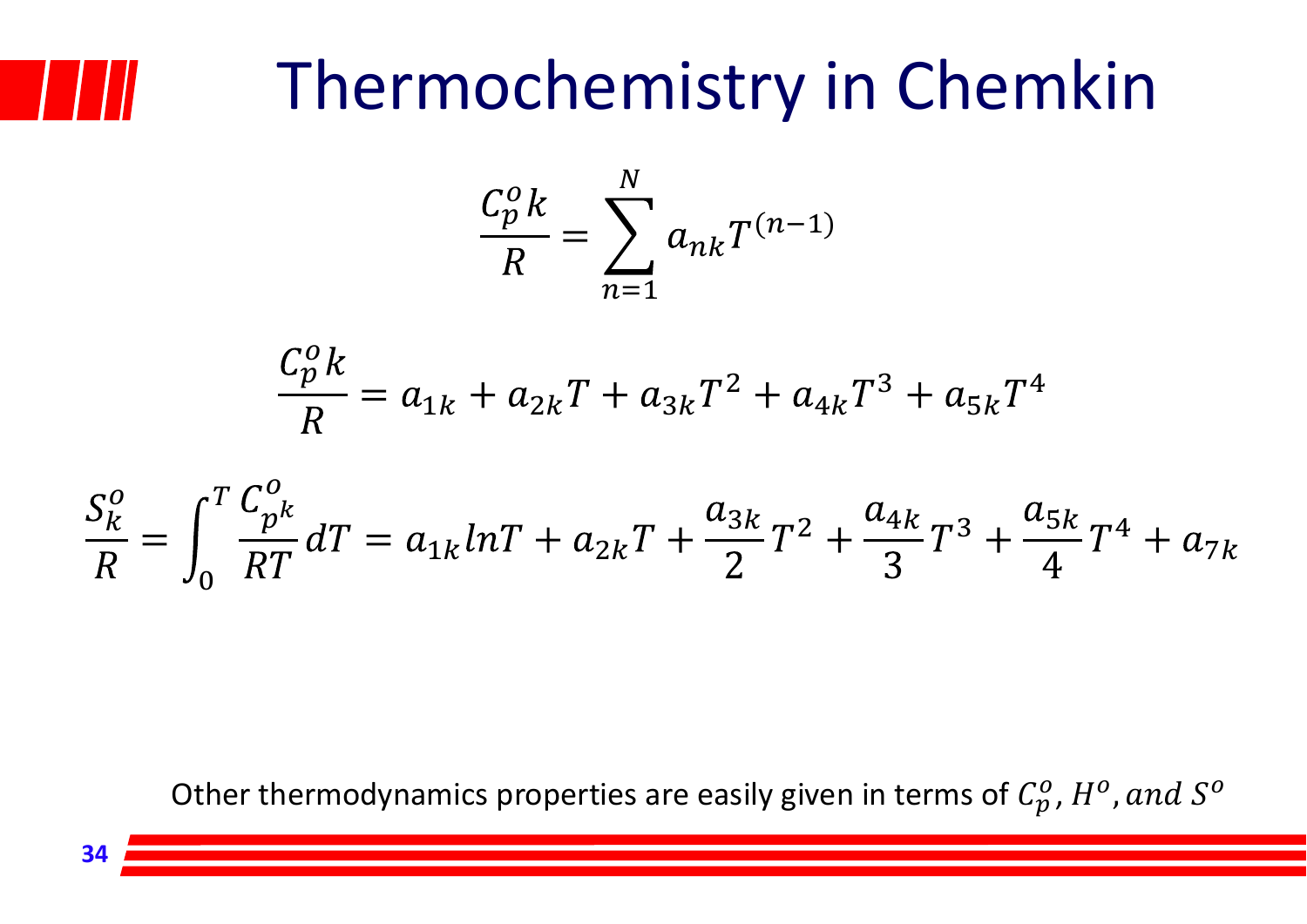## Thermochemistry in Chemkin

$$
\frac{C_p^o k}{R} = \sum_{n=1}^N a_{nk} T^{(n-1)}
$$

$$
\frac{C_p^0 k}{R} = a_{1k} + a_{2k}T + a_{3k}T^2 + a_{4k}T^3 + a_{5k}T^4
$$

$$
\frac{S_K^o}{R} = \int_0^T \frac{C_{p^k}^o}{RT} dT = a_{1k} lnT + a_{2k}T + \frac{a_{3k}}{2}T^2 + \frac{a_{4k}}{3}T^3 + \frac{a_{5k}}{4}T^4 + a_{7k}
$$

Other thermodynamics properties are easily given in terms of  $\mathcal{C}^o_p$  ,  $H^o$  ,  $and~\mathcal{S}^o$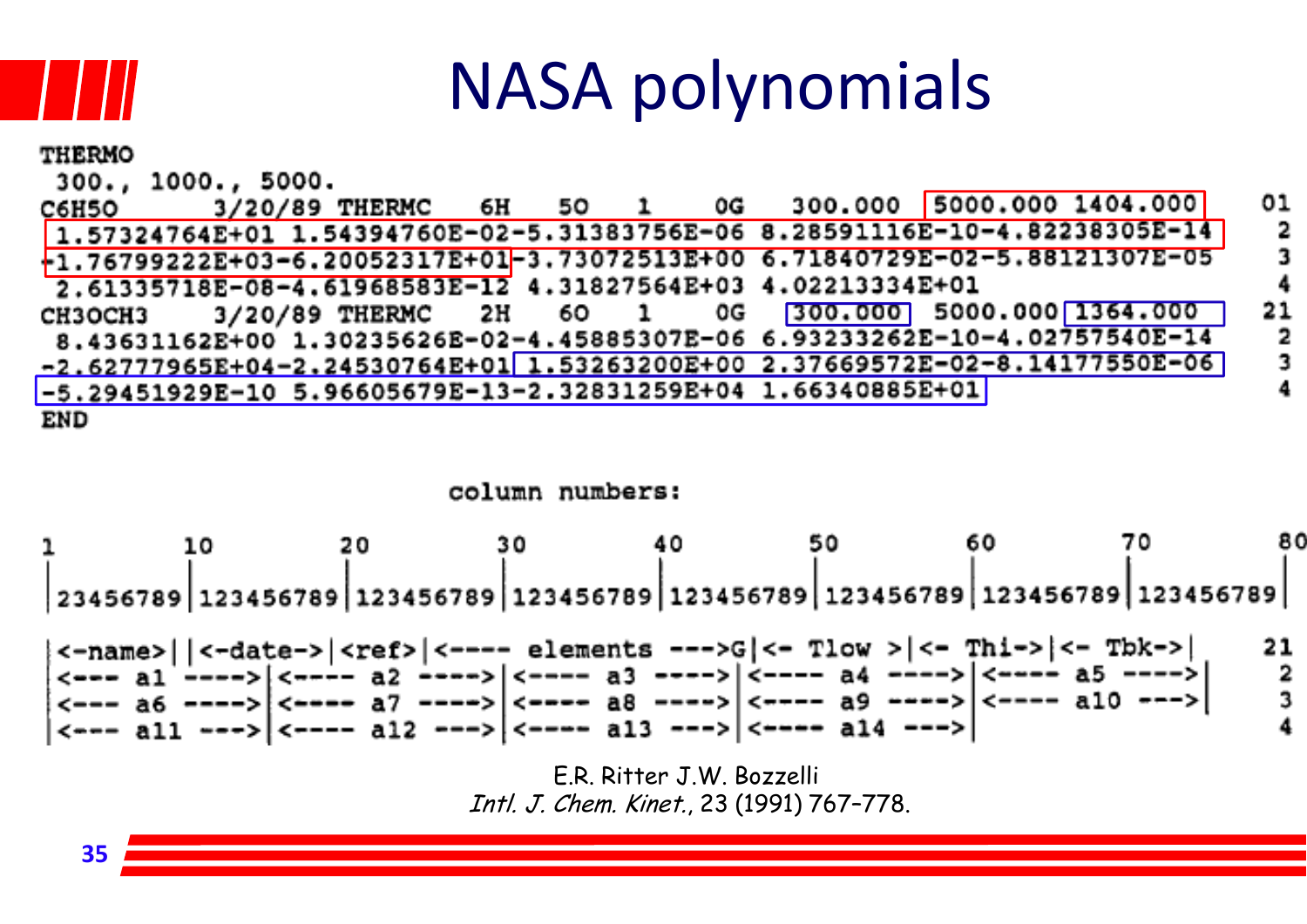

#### NASA polynomials

| <b>THERMO</b>      |  |  |  |                                                                               |  |              |
|--------------------|--|--|--|-------------------------------------------------------------------------------|--|--------------|
| 300., 1000., 5000. |  |  |  |                                                                               |  |              |
|                    |  |  |  | C6H50 3/20/89 THERMC 6H 50 1 0G 300.000 5000.000 1404.000                     |  | 01           |
|                    |  |  |  | $1.57324764E+01$ 1.54394760E-02-5.31383756E-06 8.28591116E-10-4.82238305E-14  |  | $\mathbf{2}$ |
|                    |  |  |  | $+1.76799222E+03-6.20052317E+01-3.73072513E+00 6.71840729E-02-5.88121307E-05$ |  | -3           |
|                    |  |  |  | 2.61335718E-08-4.61968583E-12 4.31827564E+03 4.02213334E+01                   |  |              |
| <b>CH3OCH3</b>     |  |  |  | 3/20/89 THERMC 2H 6O 1 0G 300.000 5000.000 1364.000                           |  | 21           |
|                    |  |  |  | 8.43631162E+00 1.30235626E-02-4.45885307E-06 6.93233262E-10-4.02757540E-14    |  | - 2          |
|                    |  |  |  | $-2.62777965E+04-2.24530764E+01$ 1.53263200E+00 2.37669572E-02-8.14177550E-06 |  | -3           |
|                    |  |  |  | $-5.29451929E-10 5.96605679E-13-2.32831259E+04 1.66340885E+01$                |  |              |
| END                |  |  |  |                                                                               |  |              |

#### column numbers:



E.R. Ritter J.W. Bozzelli Intl. J. Chem. Kinet., 23 (1991) 767–778.